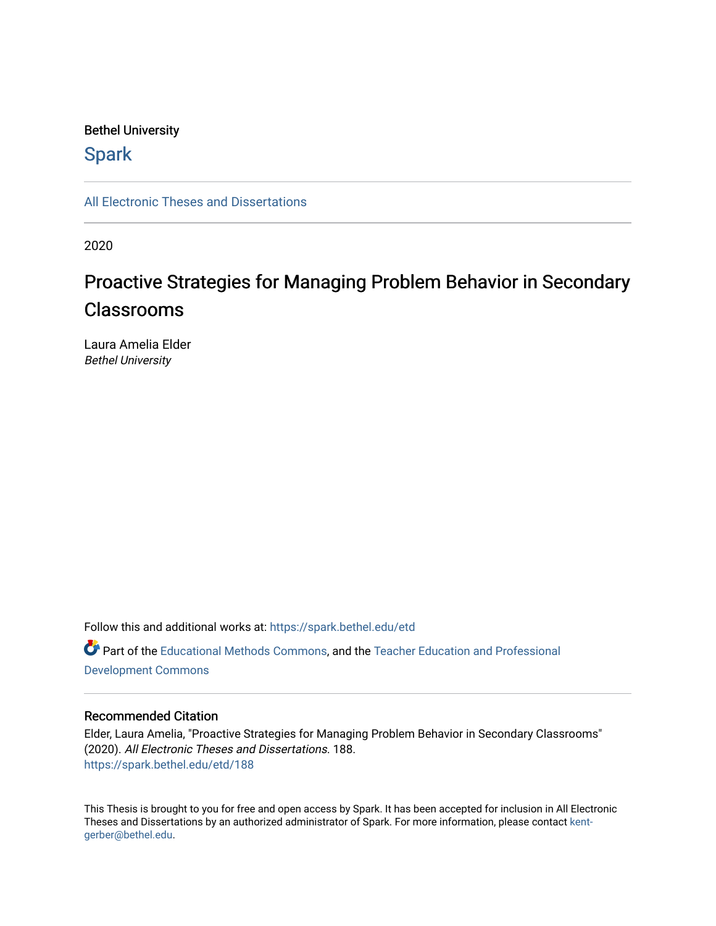# Bethel University

# **Spark**

[All Electronic Theses and Dissertations](https://spark.bethel.edu/etd) 

2020

# Proactive Strategies for Managing Problem Behavior in Secondary Classrooms

Laura Amelia Elder Bethel University

Follow this and additional works at: [https://spark.bethel.edu/etd](https://spark.bethel.edu/etd?utm_source=spark.bethel.edu%2Fetd%2F188&utm_medium=PDF&utm_campaign=PDFCoverPages) Part of the [Educational Methods Commons,](http://network.bepress.com/hgg/discipline/1227?utm_source=spark.bethel.edu%2Fetd%2F188&utm_medium=PDF&utm_campaign=PDFCoverPages) and the [Teacher Education and Professional](http://network.bepress.com/hgg/discipline/803?utm_source=spark.bethel.edu%2Fetd%2F188&utm_medium=PDF&utm_campaign=PDFCoverPages)  [Development Commons](http://network.bepress.com/hgg/discipline/803?utm_source=spark.bethel.edu%2Fetd%2F188&utm_medium=PDF&utm_campaign=PDFCoverPages) 

# Recommended Citation

Elder, Laura Amelia, "Proactive Strategies for Managing Problem Behavior in Secondary Classrooms" (2020). All Electronic Theses and Dissertations. 188. [https://spark.bethel.edu/etd/188](https://spark.bethel.edu/etd/188?utm_source=spark.bethel.edu%2Fetd%2F188&utm_medium=PDF&utm_campaign=PDFCoverPages)

This Thesis is brought to you for free and open access by Spark. It has been accepted for inclusion in All Electronic Theses and Dissertations by an authorized administrator of Spark. For more information, please contact [kent](mailto:kent-gerber@bethel.edu)[gerber@bethel.edu.](mailto:kent-gerber@bethel.edu)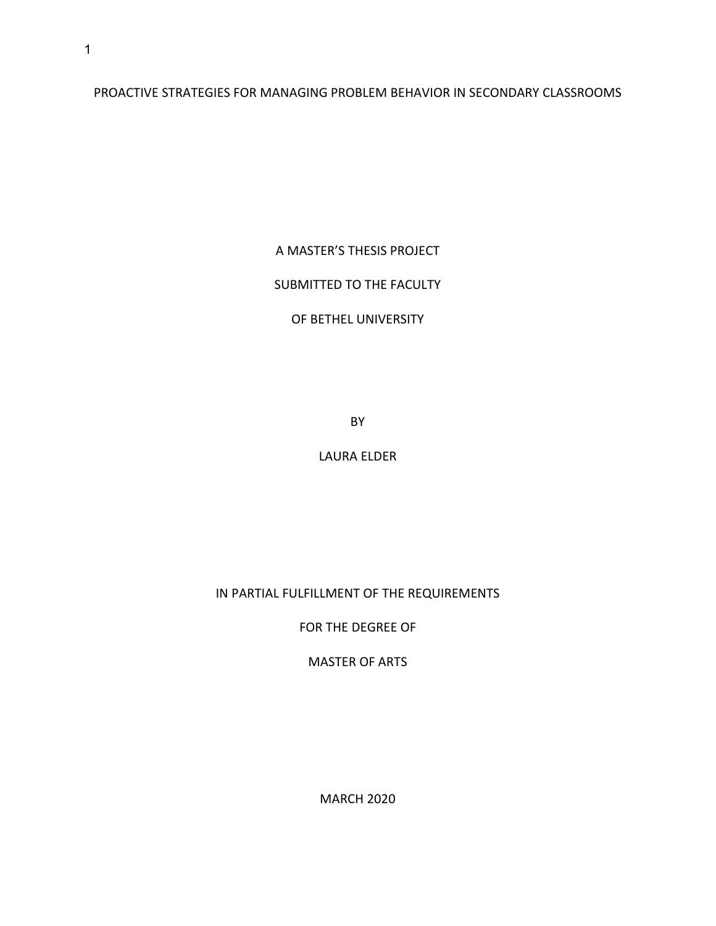PROACTIVE STRATEGIES FOR MANAGING PROBLEM BEHAVIOR IN SECONDARY CLASSROOMS

A MASTER'S THESIS PROJECT

SUBMITTED TO THE FACULTY

# OF BETHEL UNIVERSITY

BY

LAURA ELDER

IN PARTIAL FULFILLMENT OF THE REQUIREMENTS

FOR THE DEGREE OF

MASTER OF ARTS

MARCH 2020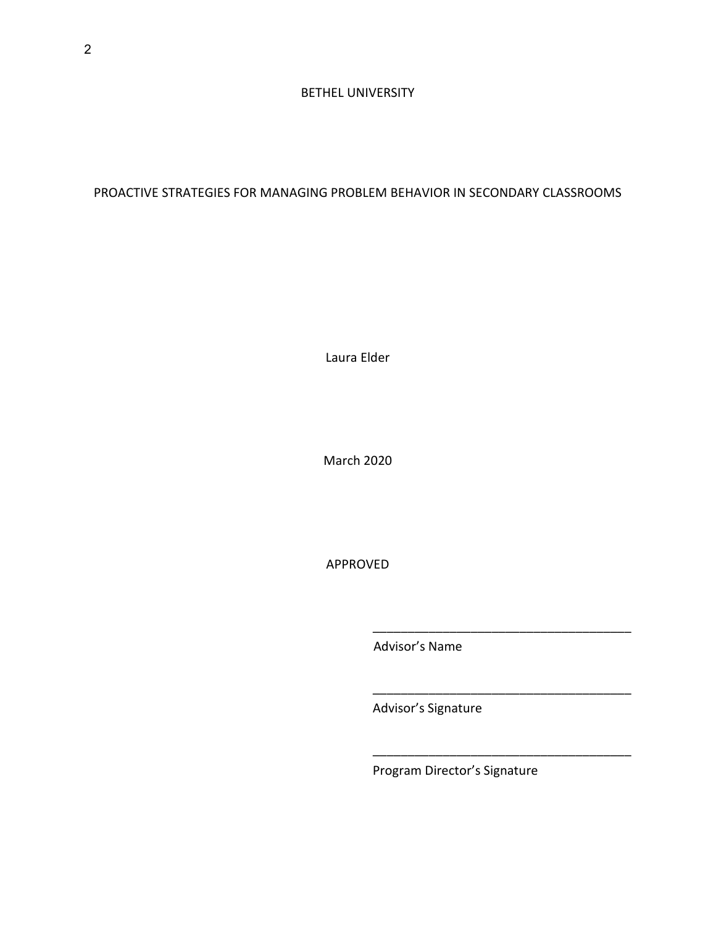# PROACTIVE STRATEGIES FOR MANAGING PROBLEM BEHAVIOR IN SECONDARY CLASSROOMS

Laura Elder

March 2020

APPROVED

Advisor's Name

Advisor's Signature

Program Director's Signature

 $\overline{\phantom{a}}$  ,  $\overline{\phantom{a}}$  ,  $\overline{\phantom{a}}$  ,  $\overline{\phantom{a}}$  ,  $\overline{\phantom{a}}$  ,  $\overline{\phantom{a}}$  ,  $\overline{\phantom{a}}$  ,  $\overline{\phantom{a}}$  ,  $\overline{\phantom{a}}$  ,  $\overline{\phantom{a}}$  ,  $\overline{\phantom{a}}$  ,  $\overline{\phantom{a}}$  ,  $\overline{\phantom{a}}$  ,  $\overline{\phantom{a}}$  ,  $\overline{\phantom{a}}$  ,  $\overline{\phantom{a}}$ 

\_\_\_\_\_\_\_\_\_\_\_\_\_\_\_\_\_\_\_\_\_\_\_\_\_\_\_\_\_\_\_\_\_\_\_\_\_

\_\_\_\_\_\_\_\_\_\_\_\_\_\_\_\_\_\_\_\_\_\_\_\_\_\_\_\_\_\_\_\_\_\_\_\_\_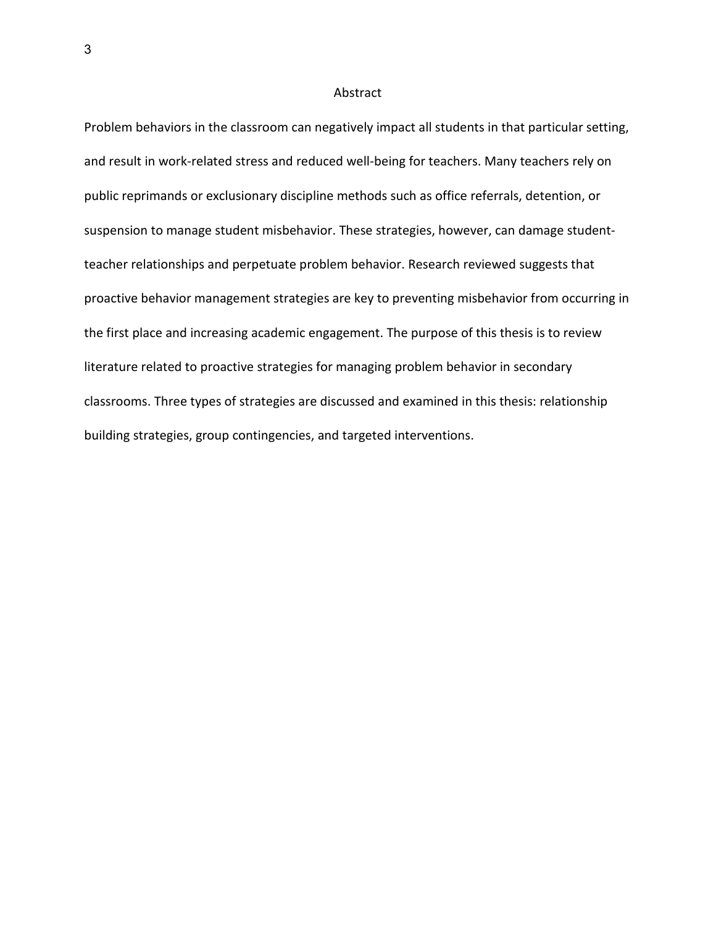#### Abstract

Problem behaviors in the classroom can negatively impact all students in that particular setting, and result in work-related stress and reduced well-being for teachers. Many teachers rely on public reprimands or exclusionary discipline methods such as office referrals, detention, or suspension to manage student misbehavior. These strategies, however, can damage studentteacher relationships and perpetuate problem behavior. Research reviewed suggests that proactive behavior management strategies are key to preventing misbehavior from occurring in the first place and increasing academic engagement. The purpose of this thesis is to review literature related to proactive strategies for managing problem behavior in secondary classrooms. Three types of strategies are discussed and examined in this thesis: relationship building strategies, group contingencies, and targeted interventions.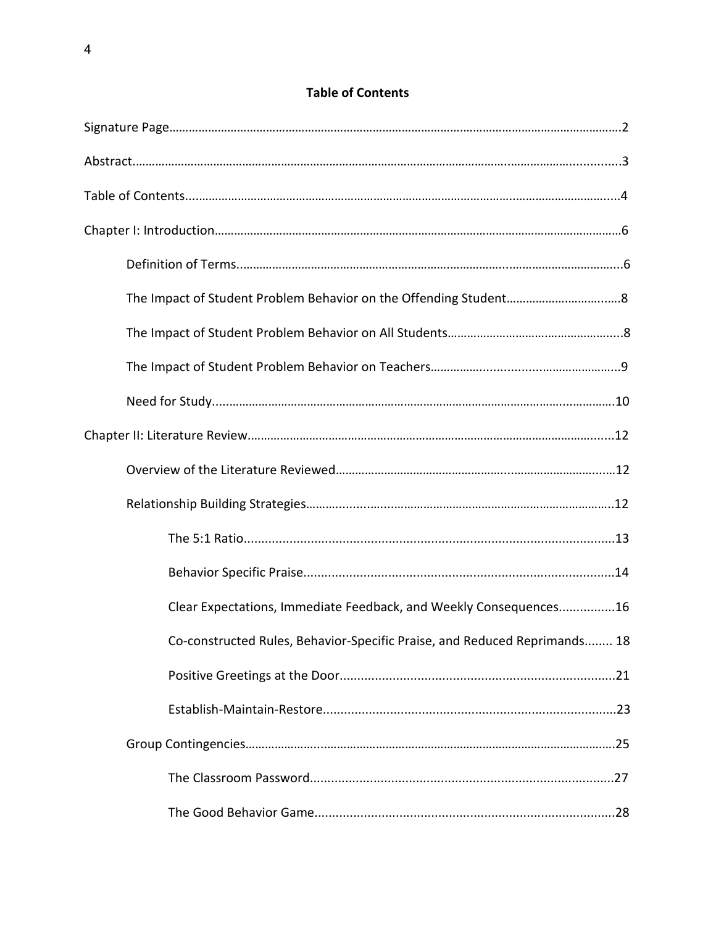# **Table of Contents**

| Clear Expectations, Immediate Feedback, and Weekly Consequences16         |
|---------------------------------------------------------------------------|
| Co-constructed Rules, Behavior-Specific Praise, and Reduced Reprimands 18 |
|                                                                           |
|                                                                           |
|                                                                           |
|                                                                           |
|                                                                           |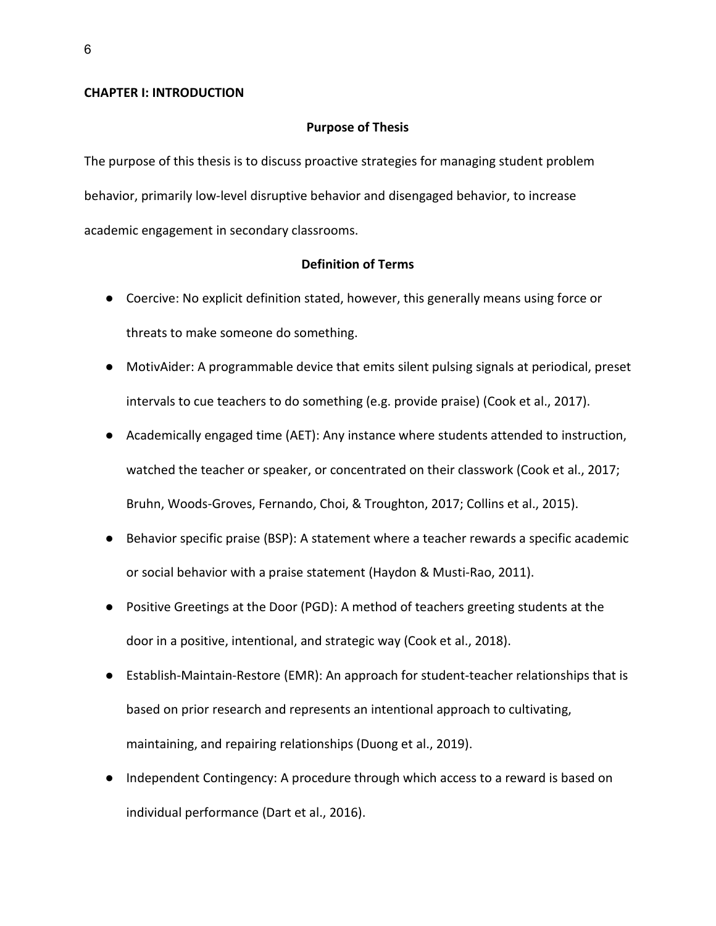## **CHAPTER I: INTRODUCTION**

#### **Purpose of Thesis**

The purpose of this thesis is to discuss proactive strategies for managing student problem behavior, primarily low-level disruptive behavior and disengaged behavior, to increase academic engagement in secondary classrooms.

## **Definition of Terms**

- Coercive: No explicit definition stated, however, this generally means using force or threats to make someone do something.
- MotivAider: A programmable device that emits silent pulsing signals at periodical, preset intervals to cue teachers to do something (e.g. provide praise) (Cook et al., 2017).
- Academically engaged time (AET): Any instance where students attended to instruction, watched the teacher or speaker, or concentrated on their classwork (Cook et al., 2017; Bruhn, Woods-Groves, Fernando, Choi, & Troughton, 2017; Collins et al., 2015).
- Behavior specific praise (BSP): A statement where a teacher rewards a specific academic or social behavior with a praise statement (Haydon & Musti-Rao, 2011).
- Positive Greetings at the Door (PGD): A method of teachers greeting students at the door in a positive, intentional, and strategic way (Cook et al., 2018).
- Establish-Maintain-Restore (EMR): An approach for student-teacher relationships that is based on prior research and represents an intentional approach to cultivating, maintaining, and repairing relationships (Duong et al., 2019).
- Independent Contingency: A procedure through which access to a reward is based on individual performance (Dart et al., 2016).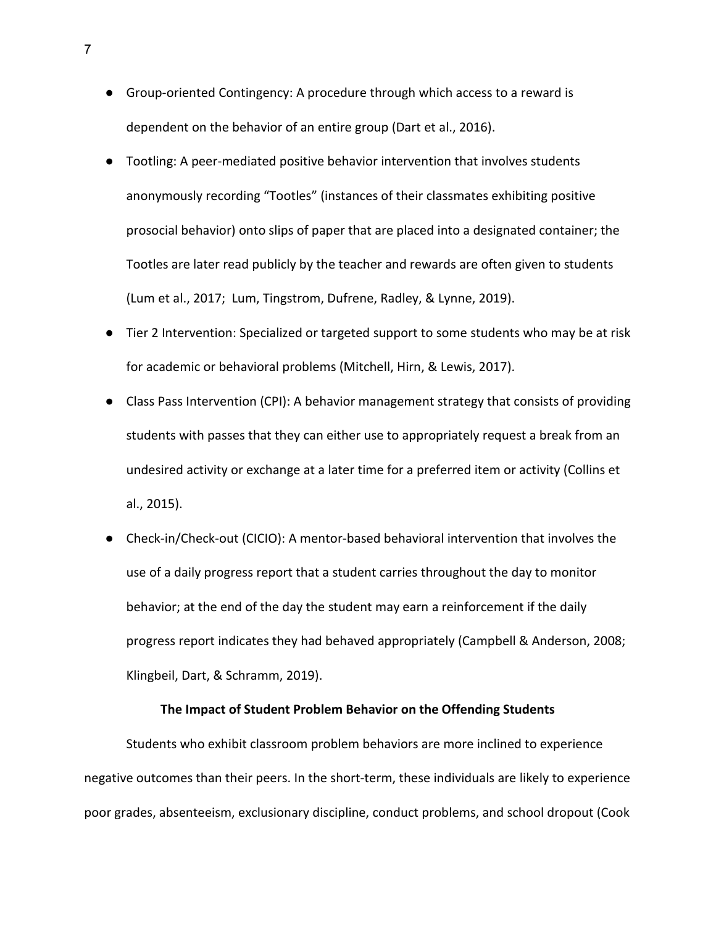- Group-oriented Contingency: A procedure through which access to a reward is dependent on the behavior of an entire group (Dart et al., 2016).
- Tootling: A peer-mediated positive behavior intervention that involves students anonymously recording "Tootles" (instances of their classmates exhibiting positive prosocial behavior) onto slips of paper that are placed into a designated container; the Tootles are later read publicly by the teacher and rewards are often given to students (Lum et al., 2017; Lum, Tingstrom, Dufrene, Radley, & Lynne, 2019).
- Tier 2 Intervention: Specialized or targeted support to some students who may be at risk for academic or behavioral problems (Mitchell, Hirn, & Lewis, 2017).
- Class Pass Intervention (CPI): A behavior management strategy that consists of providing students with passes that they can either use to appropriately request a break from an undesired activity or exchange at a later time for a preferred item or activity (Collins et al., 2015).
- Check-in/Check-out (CICIO): A mentor-based behavioral intervention that involves the use of a daily progress report that a student carries throughout the day to monitor behavior; at the end of the day the student may earn a reinforcement if the daily progress report indicates they had behaved appropriately (Campbell & Anderson, 2008; Klingbeil, Dart, & Schramm, 2019).

## **The Impact of Student Problem Behavior on the Offending Students**

Students who exhibit classroom problem behaviors are more inclined to experience negative outcomes than their peers. In the short-term, these individuals are likely to experience poor grades, absenteeism, exclusionary discipline, conduct problems, and school dropout (Cook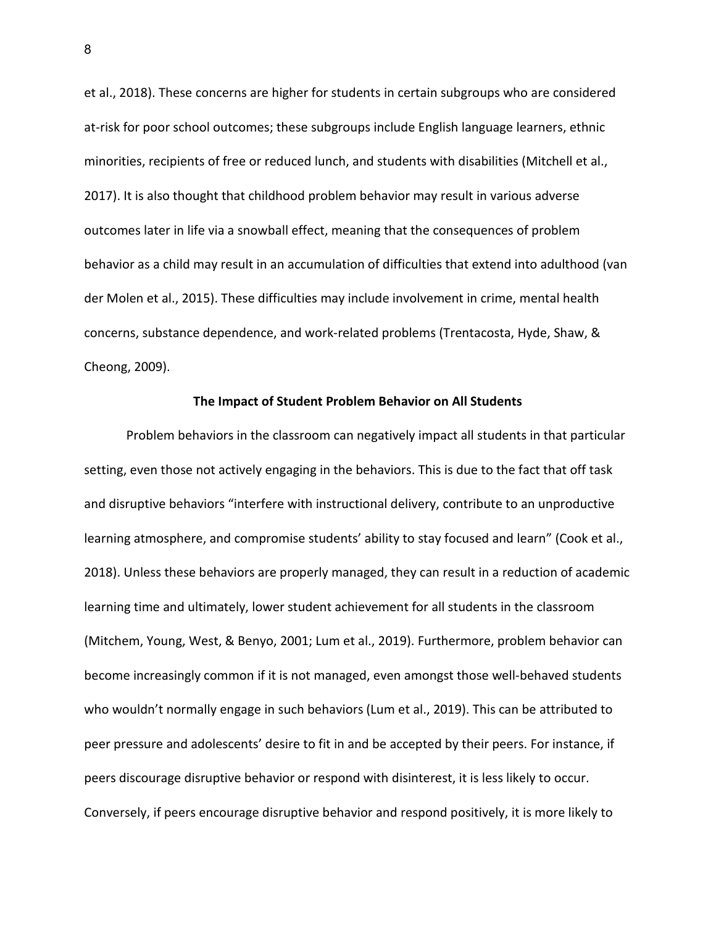et al., 2018). These concerns are higher for students in certain subgroups who are considered at-risk for poor school outcomes; these subgroups include English language learners, ethnic minorities, recipients of free or reduced lunch, and students with disabilities (Mitchell et al., 2017). It is also thought that childhood problem behavior may result in various adverse outcomes later in life via a snowball effect, meaning that the consequences of problem behavior as a child may result in an accumulation of difficulties that extend into adulthood (van der Molen et al., 2015). These difficulties may include involvement in crime, mental health concerns, substance dependence, and work-related problems (Trentacosta, Hyde, Shaw, & Cheong, 2009).

## **The Impact of Student Problem Behavior on All Students**

Problem behaviors in the classroom can negatively impact all students in that particular setting, even those not actively engaging in the behaviors. This is due to the fact that off task and disruptive behaviors "interfere with instructional delivery, contribute to an unproductive learning atmosphere, and compromise students' ability to stay focused and learn" (Cook et al., 2018). Unless these behaviors are properly managed, they can result in a reduction of academic learning time and ultimately, lower student achievement for all students in the classroom (Mitchem, Young, West, & Benyo, 2001; Lum et al., 2019). Furthermore, problem behavior can become increasingly common if it is not managed, even amongst those well-behaved students who wouldn't normally engage in such behaviors (Lum et al., 2019). This can be attributed to peer pressure and adolescents' desire to fit in and be accepted by their peers. For instance, if peers discourage disruptive behavior or respond with disinterest, it is less likely to occur. Conversely, if peers encourage disruptive behavior and respond positively, it is more likely to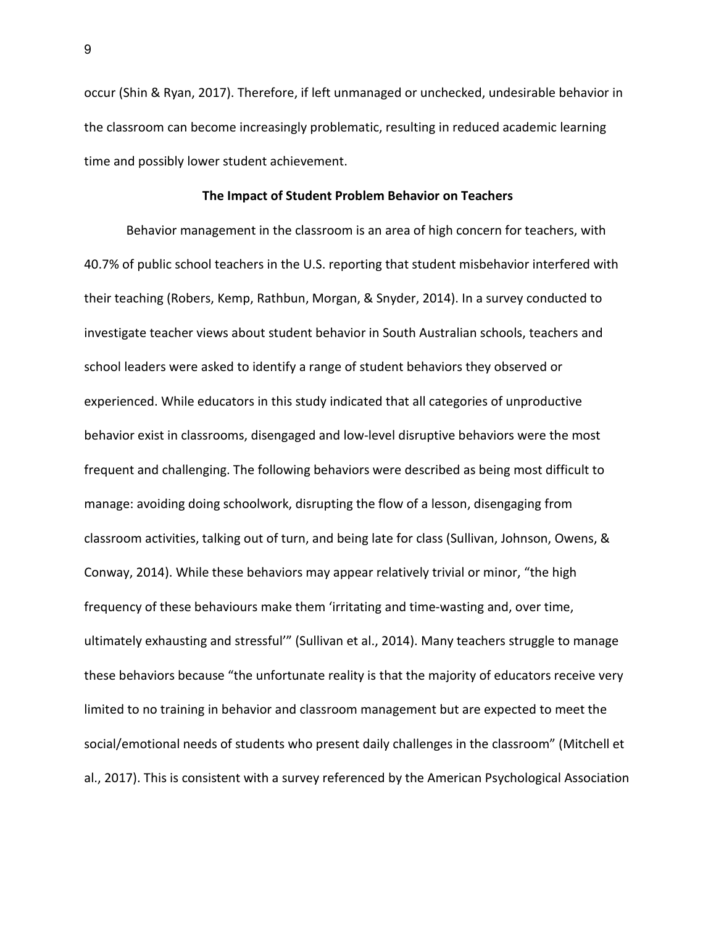occur (Shin & Ryan, 2017). Therefore, if left unmanaged or unchecked, undesirable behavior in the classroom can become increasingly problematic, resulting in reduced academic learning time and possibly lower student achievement.

#### **The Impact of Student Problem Behavior on Teachers**

Behavior management in the classroom is an area of high concern for teachers, with 40.7% of public school teachers in the U.S. reporting that student misbehavior interfered with their teaching (Robers, Kemp, Rathbun, Morgan, & Snyder, 2014). In a survey conducted to investigate teacher views about student behavior in South Australian schools, teachers and school leaders were asked to identify a range of student behaviors they observed or experienced. While educators in this study indicated that all categories of unproductive behavior exist in classrooms, disengaged and low-level disruptive behaviors were the most frequent and challenging. The following behaviors were described as being most difficult to manage: avoiding doing schoolwork, disrupting the flow of a lesson, disengaging from classroom activities, talking out of turn, and being late for class (Sullivan, Johnson, Owens, & Conway, 2014). While these behaviors may appear relatively trivial or minor, "the high frequency of these behaviours make them 'irritating and time-wasting and, over time, ultimately exhausting and stressful'" (Sullivan et al., 2014). Many teachers struggle to manage these behaviors because "the unfortunate reality is that the majority of educators receive very limited to no training in behavior and classroom management but are expected to meet the social/emotional needs of students who present daily challenges in the classroom" (Mitchell et al., 2017). This is consistent with a survey referenced by the American Psychological Association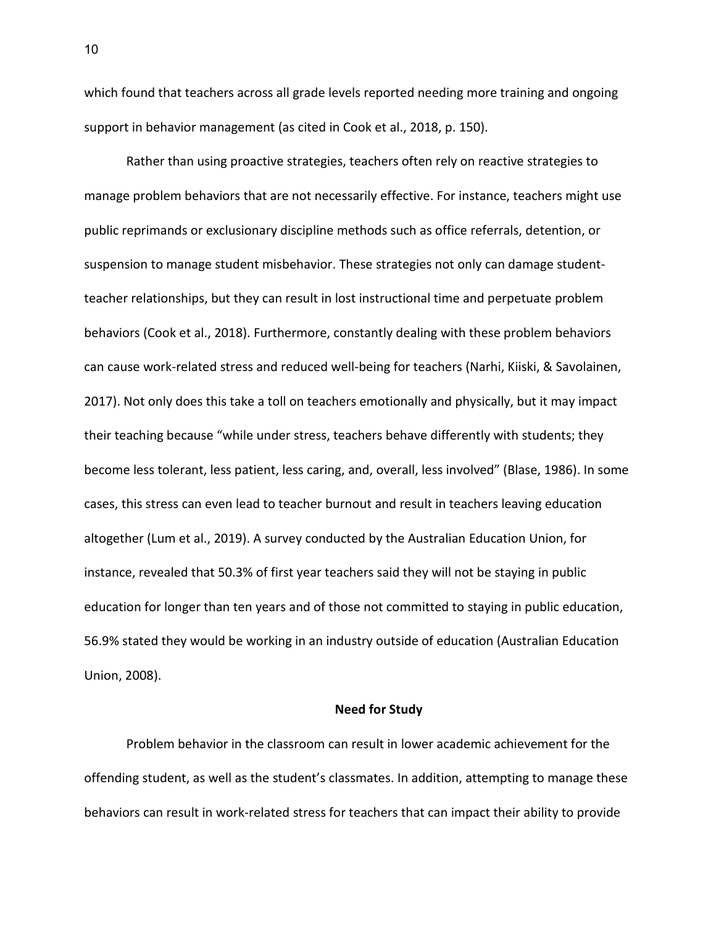which found that teachers across all grade levels reported needing more training and ongoing support in behavior management (as cited in Cook et al., 2018, p. 150).

Rather than using proactive strategies, teachers often rely on reactive strategies to manage problem behaviors that are not necessarily effective. For instance, teachers might use public reprimands or exclusionary discipline methods such as office referrals, detention, or suspension to manage student misbehavior. These strategies not only can damage studentteacher relationships, but they can result in lost instructional time and perpetuate problem behaviors (Cook et al., 2018). Furthermore, constantly dealing with these problem behaviors can cause work-related stress and reduced well-being for teachers (Narhi, Kiiski, & Savolainen, 2017). Not only does this take a toll on teachers emotionally and physically, but it may impact their teaching because "while under stress, teachers behave differently with students; they become less tolerant, less patient, less caring, and, overall, less involved" (Blase, 1986). In some cases, this stress can even lead to teacher burnout and result in teachers leaving education altogether (Lum et al., 2019). A survey conducted by the Australian Education Union, for instance, revealed that 50.3% of first year teachers said they will not be staying in public education for longer than ten years and of those not committed to staying in public education, 56.9% stated they would be working in an industry outside of education (Australian Education Union, 2008).

# **Need for Study**

Problem behavior in the classroom can result in lower academic achievement for the offending student, as well as the student's classmates. In addition, attempting to manage these behaviors can result in work-related stress for teachers that can impact their ability to provide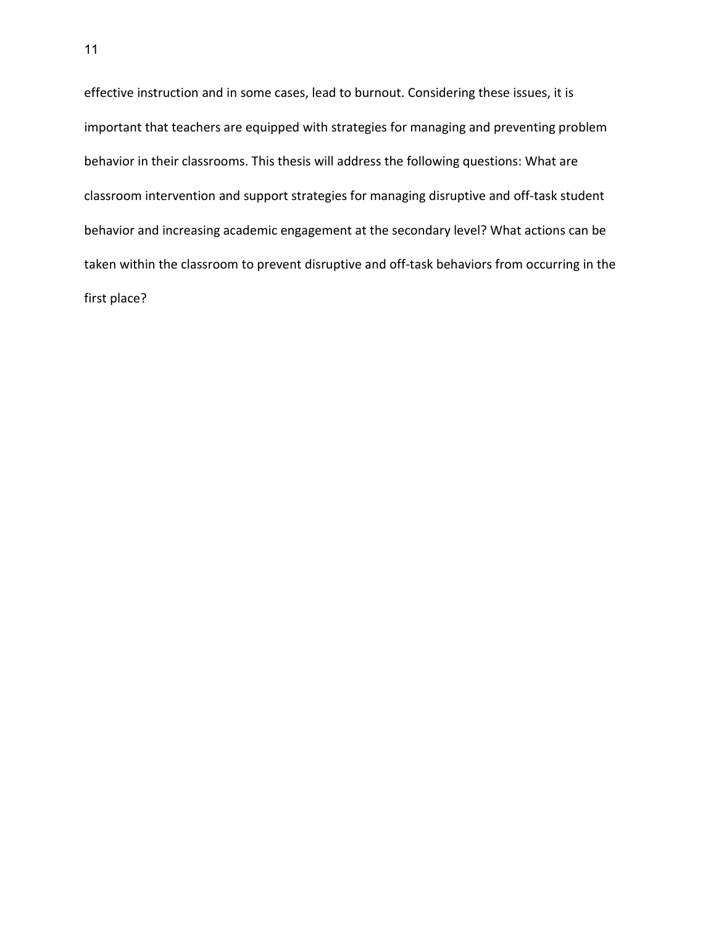effective instruction and in some cases, lead to burnout. Considering these issues, it is important that teachers are equipped with strategies for managing and preventing problem behavior in their classrooms. This thesis will address the following questions: What are classroom intervention and support strategies for managing disruptive and off-task student behavior and increasing academic engagement at the secondary level? What actions can be taken within the classroom to prevent disruptive and off-task behaviors from occurring in the first place?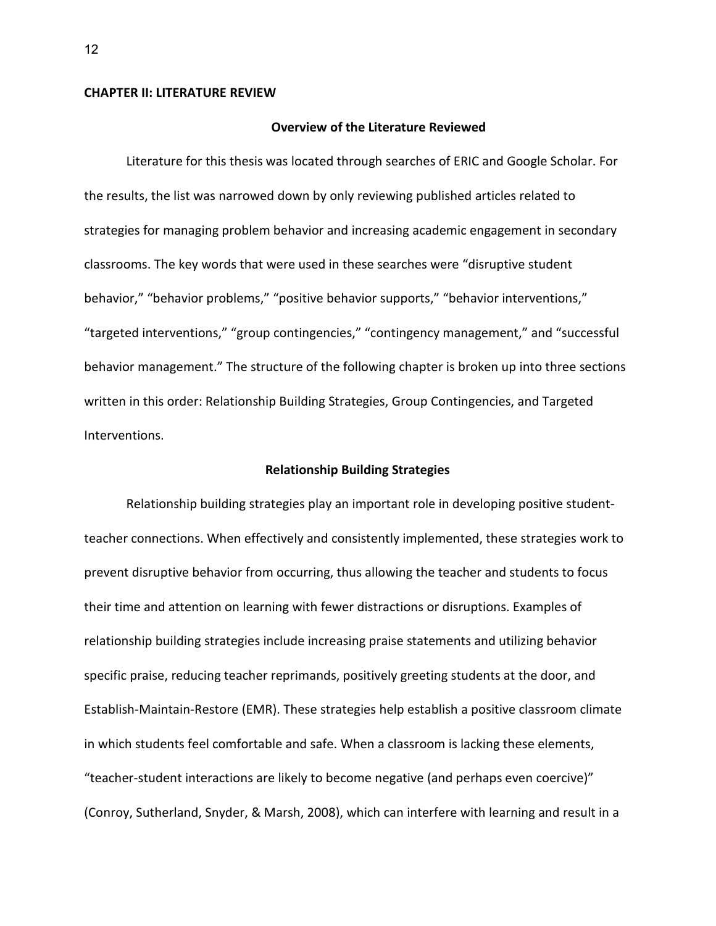#### **CHAPTER II: LITERATURE REVIEW**

#### **Overview of the Literature Reviewed**

Literature for this thesis was located through searches of ERIC and Google Scholar. For the results, the list was narrowed down by only reviewing published articles related to strategies for managing problem behavior and increasing academic engagement in secondary classrooms. The key words that were used in these searches were "disruptive student behavior," "behavior problems," "positive behavior supports," "behavior interventions," "targeted interventions," "group contingencies," "contingency management," and "successful behavior management." The structure of the following chapter is broken up into three sections written in this order: Relationship Building Strategies, Group Contingencies, and Targeted Interventions.

## **Relationship Building Strategies**

Relationship building strategies play an important role in developing positive studentteacher connections. When effectively and consistently implemented, these strategies work to prevent disruptive behavior from occurring, thus allowing the teacher and students to focus their time and attention on learning with fewer distractions or disruptions. Examples of relationship building strategies include increasing praise statements and utilizing behavior specific praise, reducing teacher reprimands, positively greeting students at the door, and Establish-Maintain-Restore (EMR). These strategies help establish a positive classroom climate in which students feel comfortable and safe. When a classroom is lacking these elements, "teacher-student interactions are likely to become negative (and perhaps even coercive)" (Conroy, Sutherland, Snyder, & Marsh, 2008), which can interfere with learning and result in a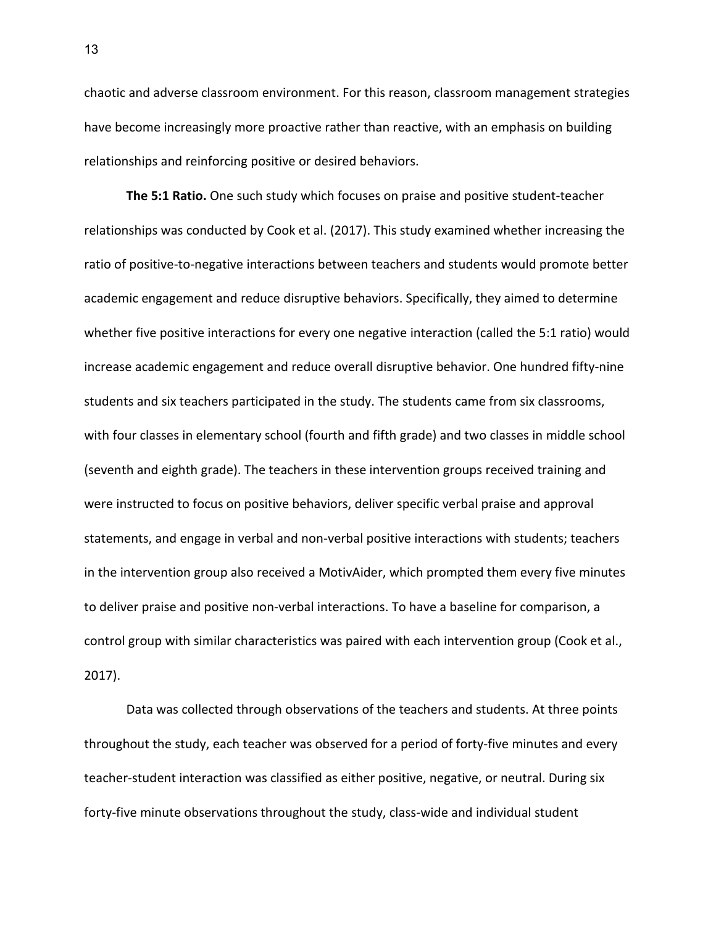chaotic and adverse classroom environment. For this reason, classroom management strategies have become increasingly more proactive rather than reactive, with an emphasis on building relationships and reinforcing positive or desired behaviors.

**The 5:1 Ratio.** One such study which focuses on praise and positive student-teacher relationships was conducted by Cook et al. (2017). This study examined whether increasing the ratio of positive-to-negative interactions between teachers and students would promote better academic engagement and reduce disruptive behaviors. Specifically, they aimed to determine whether five positive interactions for every one negative interaction (called the 5:1 ratio) would increase academic engagement and reduce overall disruptive behavior. One hundred fifty-nine students and six teachers participated in the study. The students came from six classrooms, with four classes in elementary school (fourth and fifth grade) and two classes in middle school (seventh and eighth grade). The teachers in these intervention groups received training and were instructed to focus on positive behaviors, deliver specific verbal praise and approval statements, and engage in verbal and non-verbal positive interactions with students; teachers in the intervention group also received a MotivAider, which prompted them every five minutes to deliver praise and positive non-verbal interactions. To have a baseline for comparison, a control group with similar characteristics was paired with each intervention group (Cook et al., 2017).

Data was collected through observations of the teachers and students. At three points throughout the study, each teacher was observed for a period of forty-five minutes and every teacher-student interaction was classified as either positive, negative, or neutral. During six forty-five minute observations throughout the study, class-wide and individual student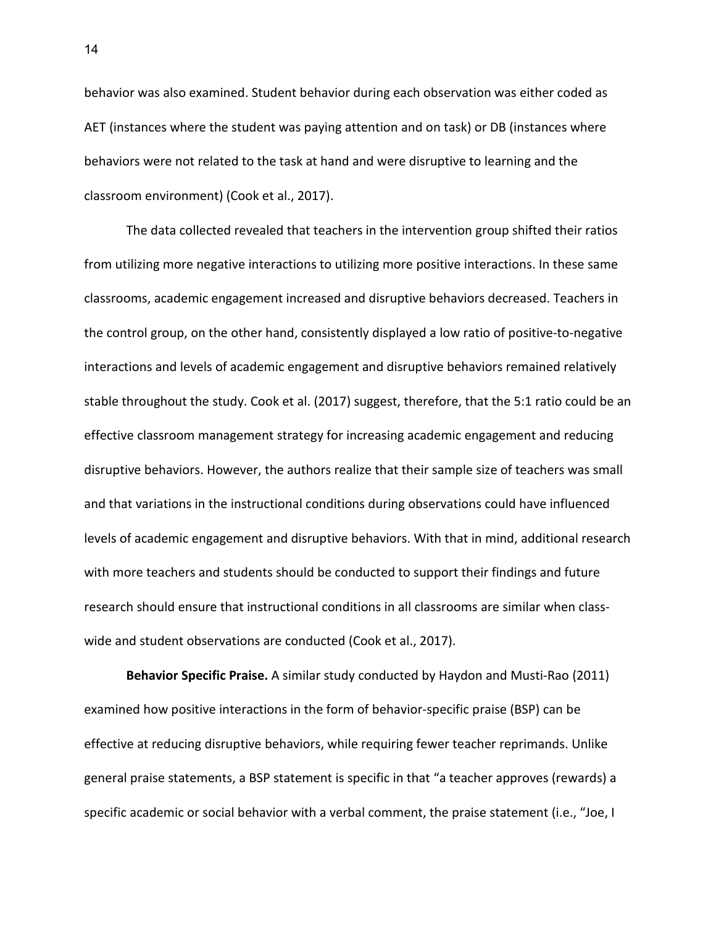behavior was also examined. Student behavior during each observation was either coded as AET (instances where the student was paying attention and on task) or DB (instances where behaviors were not related to the task at hand and were disruptive to learning and the classroom environment) (Cook et al., 2017).

The data collected revealed that teachers in the intervention group shifted their ratios from utilizing more negative interactions to utilizing more positive interactions. In these same classrooms, academic engagement increased and disruptive behaviors decreased. Teachers in the control group, on the other hand, consistently displayed a low ratio of positive-to-negative interactions and levels of academic engagement and disruptive behaviors remained relatively stable throughout the study. Cook et al. (2017) suggest, therefore, that the 5:1 ratio could be an effective classroom management strategy for increasing academic engagement and reducing disruptive behaviors. However, the authors realize that their sample size of teachers was small and that variations in the instructional conditions during observations could have influenced levels of academic engagement and disruptive behaviors. With that in mind, additional research with more teachers and students should be conducted to support their findings and future research should ensure that instructional conditions in all classrooms are similar when classwide and student observations are conducted (Cook et al., 2017).

**Behavior Specific Praise.** A similar study conducted by Haydon and Musti-Rao (2011) examined how positive interactions in the form of behavior-specific praise (BSP) can be effective at reducing disruptive behaviors, while requiring fewer teacher reprimands. Unlike general praise statements, a BSP statement is specific in that "a teacher approves (rewards) a specific academic or social behavior with a verbal comment, the praise statement (i.e., "Joe, I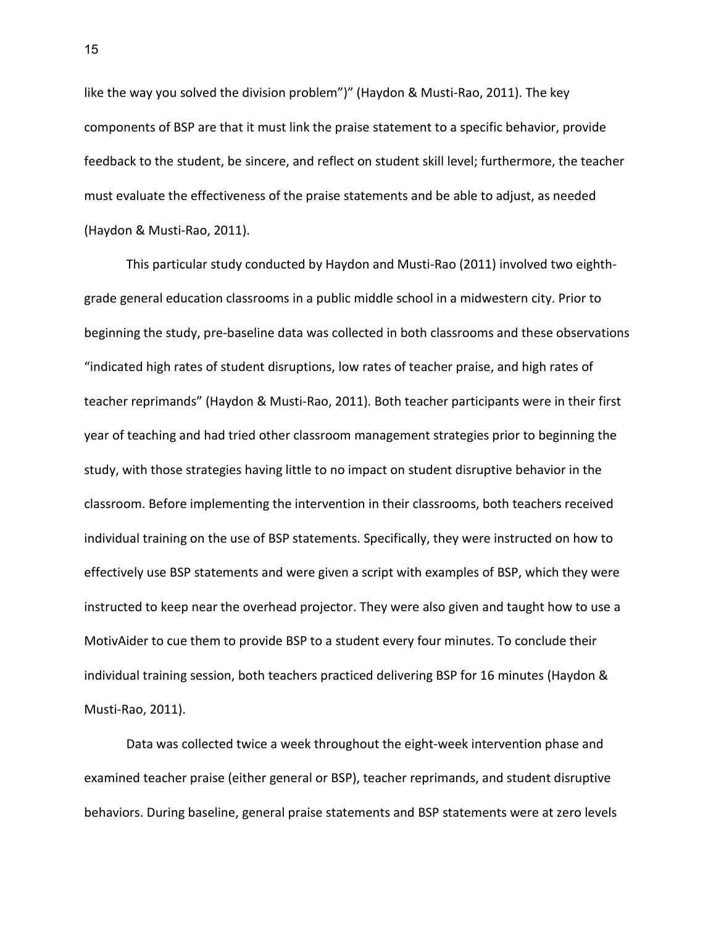like the way you solved the division problem")" (Haydon & Musti-Rao, 2011). The key components of BSP are that it must link the praise statement to a specific behavior, provide feedback to the student, be sincere, and reflect on student skill level; furthermore, the teacher must evaluate the effectiveness of the praise statements and be able to adjust, as needed (Haydon & Musti-Rao, 2011).

This particular study conducted by Haydon and Musti-Rao (2011) involved two eighthgrade general education classrooms in a public middle school in a midwestern city. Prior to beginning the study, pre-baseline data was collected in both classrooms and these observations "indicated high rates of student disruptions, low rates of teacher praise, and high rates of teacher reprimands" (Haydon & Musti-Rao, 2011). Both teacher participants were in their first year of teaching and had tried other classroom management strategies prior to beginning the study, with those strategies having little to no impact on student disruptive behavior in the classroom. Before implementing the intervention in their classrooms, both teachers received individual training on the use of BSP statements. Specifically, they were instructed on how to effectively use BSP statements and were given a script with examples of BSP, which they were instructed to keep near the overhead projector. They were also given and taught how to use a MotivAider to cue them to provide BSP to a student every four minutes. To conclude their individual training session, both teachers practiced delivering BSP for 16 minutes (Haydon & Musti-Rao, 2011).

Data was collected twice a week throughout the eight-week intervention phase and examined teacher praise (either general or BSP), teacher reprimands, and student disruptive behaviors. During baseline, general praise statements and BSP statements were at zero levels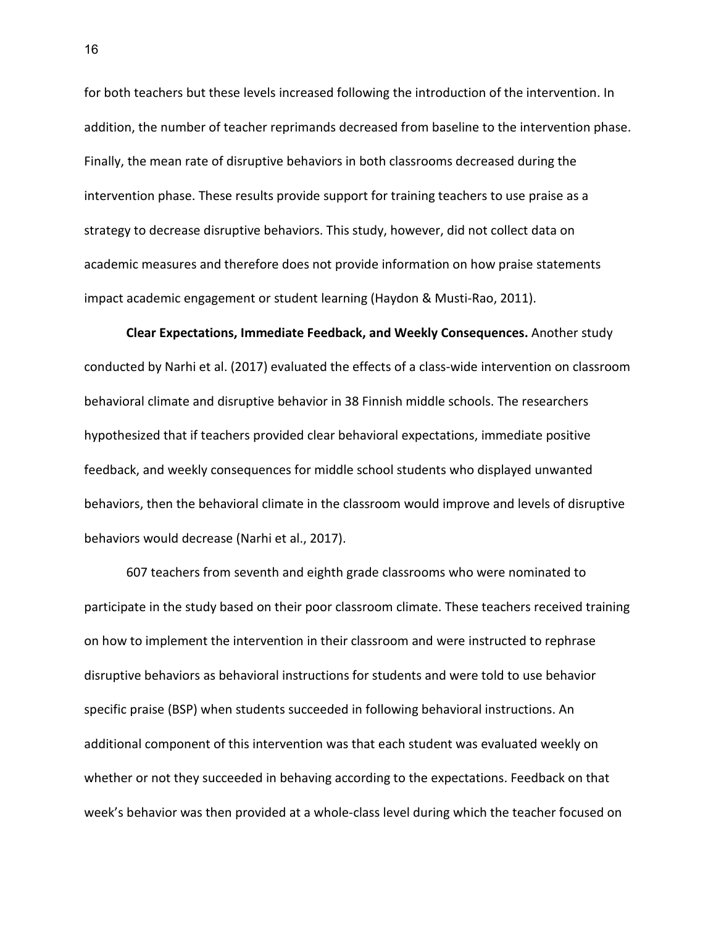for both teachers but these levels increased following the introduction of the intervention. In addition, the number of teacher reprimands decreased from baseline to the intervention phase. Finally, the mean rate of disruptive behaviors in both classrooms decreased during the intervention phase. These results provide support for training teachers to use praise as a strategy to decrease disruptive behaviors. This study, however, did not collect data on academic measures and therefore does not provide information on how praise statements impact academic engagement or student learning (Haydon & Musti-Rao, 2011).

**Clear Expectations, Immediate Feedback, and Weekly Consequences.** Another study conducted by Narhi et al. (2017) evaluated the effects of a class-wide intervention on classroom behavioral climate and disruptive behavior in 38 Finnish middle schools. The researchers hypothesized that if teachers provided clear behavioral expectations, immediate positive feedback, and weekly consequences for middle school students who displayed unwanted behaviors, then the behavioral climate in the classroom would improve and levels of disruptive behaviors would decrease (Narhi et al., 2017).

607 teachers from seventh and eighth grade classrooms who were nominated to participate in the study based on their poor classroom climate. These teachers received training on how to implement the intervention in their classroom and were instructed to rephrase disruptive behaviors as behavioral instructions for students and were told to use behavior specific praise (BSP) when students succeeded in following behavioral instructions. An additional component of this intervention was that each student was evaluated weekly on whether or not they succeeded in behaving according to the expectations. Feedback on that week's behavior was then provided at a whole-class level during which the teacher focused on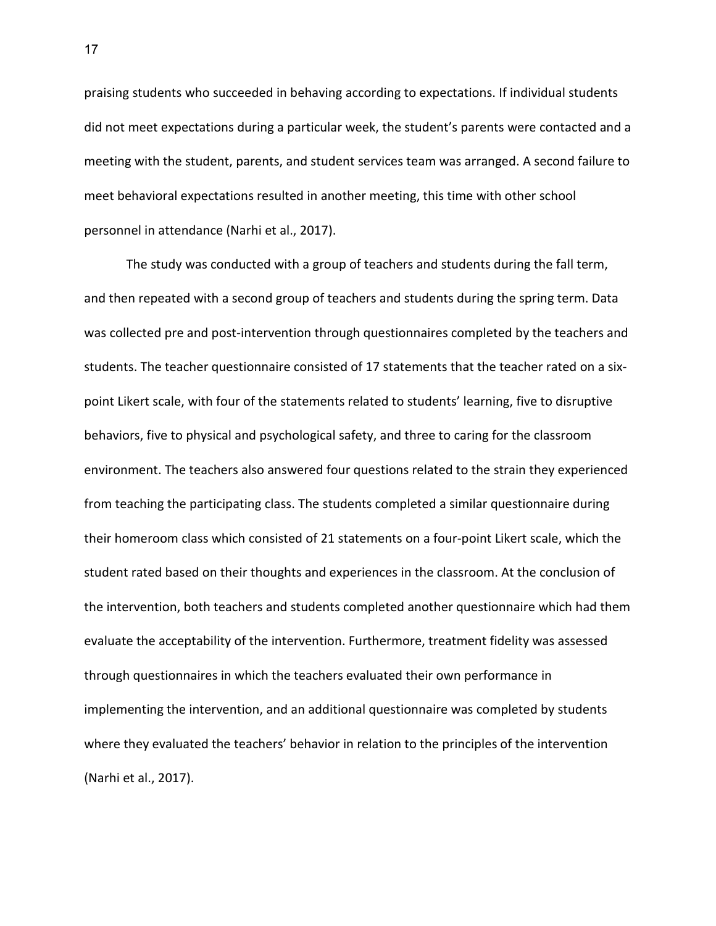praising students who succeeded in behaving according to expectations. If individual students did not meet expectations during a particular week, the student's parents were contacted and a meeting with the student, parents, and student services team was arranged. A second failure to meet behavioral expectations resulted in another meeting, this time with other school personnel in attendance (Narhi et al., 2017).

The study was conducted with a group of teachers and students during the fall term, and then repeated with a second group of teachers and students during the spring term. Data was collected pre and post-intervention through questionnaires completed by the teachers and students. The teacher questionnaire consisted of 17 statements that the teacher rated on a sixpoint Likert scale, with four of the statements related to students' learning, five to disruptive behaviors, five to physical and psychological safety, and three to caring for the classroom environment. The teachers also answered four questions related to the strain they experienced from teaching the participating class. The students completed a similar questionnaire during their homeroom class which consisted of 21 statements on a four-point Likert scale, which the student rated based on their thoughts and experiences in the classroom. At the conclusion of the intervention, both teachers and students completed another questionnaire which had them evaluate the acceptability of the intervention. Furthermore, treatment fidelity was assessed through questionnaires in which the teachers evaluated their own performance in implementing the intervention, and an additional questionnaire was completed by students where they evaluated the teachers' behavior in relation to the principles of the intervention (Narhi et al., 2017).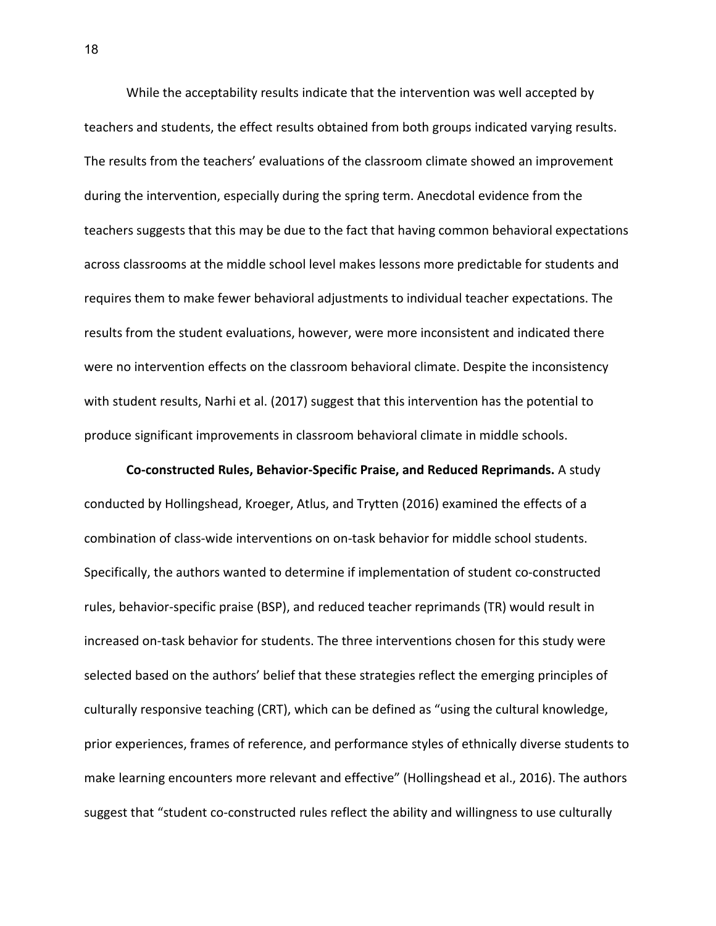While the acceptability results indicate that the intervention was well accepted by teachers and students, the effect results obtained from both groups indicated varying results. The results from the teachers' evaluations of the classroom climate showed an improvement during the intervention, especially during the spring term. Anecdotal evidence from the teachers suggests that this may be due to the fact that having common behavioral expectations across classrooms at the middle school level makes lessons more predictable for students and requires them to make fewer behavioral adjustments to individual teacher expectations. The results from the student evaluations, however, were more inconsistent and indicated there were no intervention effects on the classroom behavioral climate. Despite the inconsistency with student results, Narhi et al. (2017) suggest that this intervention has the potential to produce significant improvements in classroom behavioral climate in middle schools.

**Co-constructed Rules, Behavior-Specific Praise, and Reduced Reprimands.** A study conducted by Hollingshead, Kroeger, Atlus, and Trytten (2016) examined the effects of a combination of class-wide interventions on on-task behavior for middle school students. Specifically, the authors wanted to determine if implementation of student co-constructed rules, behavior-specific praise (BSP), and reduced teacher reprimands (TR) would result in increased on-task behavior for students. The three interventions chosen for this study were selected based on the authors' belief that these strategies reflect the emerging principles of culturally responsive teaching (CRT), which can be defined as "using the cultural knowledge, prior experiences, frames of reference, and performance styles of ethnically diverse students to make learning encounters more relevant and effective" (Hollingshead et al., 2016). The authors suggest that "student co-constructed rules reflect the ability and willingness to use culturally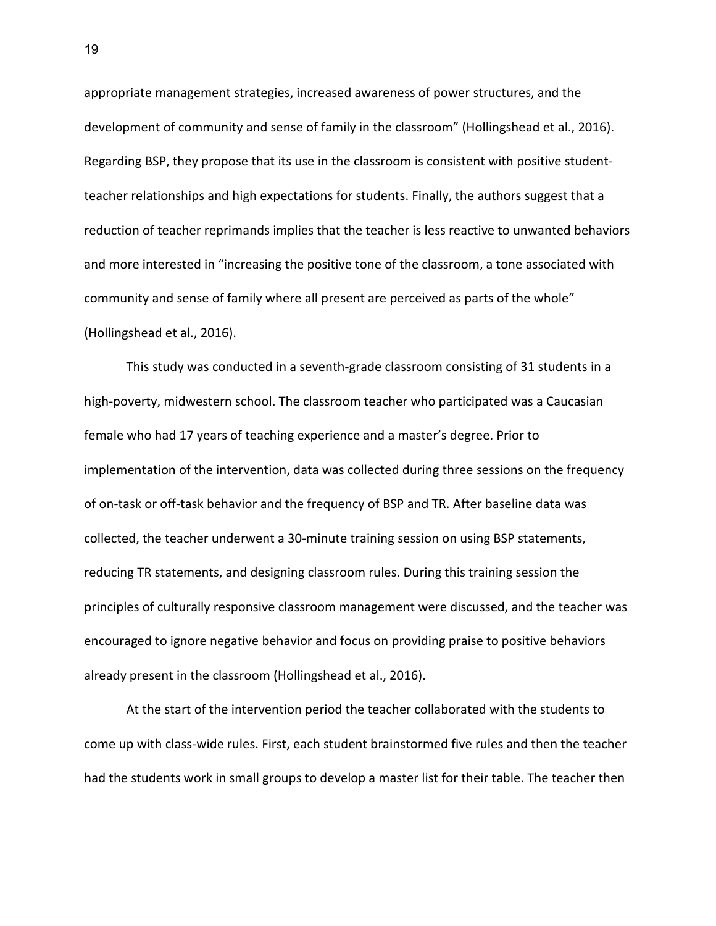appropriate management strategies, increased awareness of power structures, and the development of community and sense of family in the classroom" (Hollingshead et al., 2016). Regarding BSP, they propose that its use in the classroom is consistent with positive studentteacher relationships and high expectations for students. Finally, the authors suggest that a reduction of teacher reprimands implies that the teacher is less reactive to unwanted behaviors and more interested in "increasing the positive tone of the classroom, a tone associated with community and sense of family where all present are perceived as parts of the whole" (Hollingshead et al., 2016).

This study was conducted in a seventh-grade classroom consisting of 31 students in a high-poverty, midwestern school. The classroom teacher who participated was a Caucasian female who had 17 years of teaching experience and a master's degree. Prior to implementation of the intervention, data was collected during three sessions on the frequency of on-task or off-task behavior and the frequency of BSP and TR. After baseline data was collected, the teacher underwent a 30-minute training session on using BSP statements, reducing TR statements, and designing classroom rules. During this training session the principles of culturally responsive classroom management were discussed, and the teacher was encouraged to ignore negative behavior and focus on providing praise to positive behaviors already present in the classroom (Hollingshead et al., 2016).

At the start of the intervention period the teacher collaborated with the students to come up with class-wide rules. First, each student brainstormed five rules and then the teacher had the students work in small groups to develop a master list for their table. The teacher then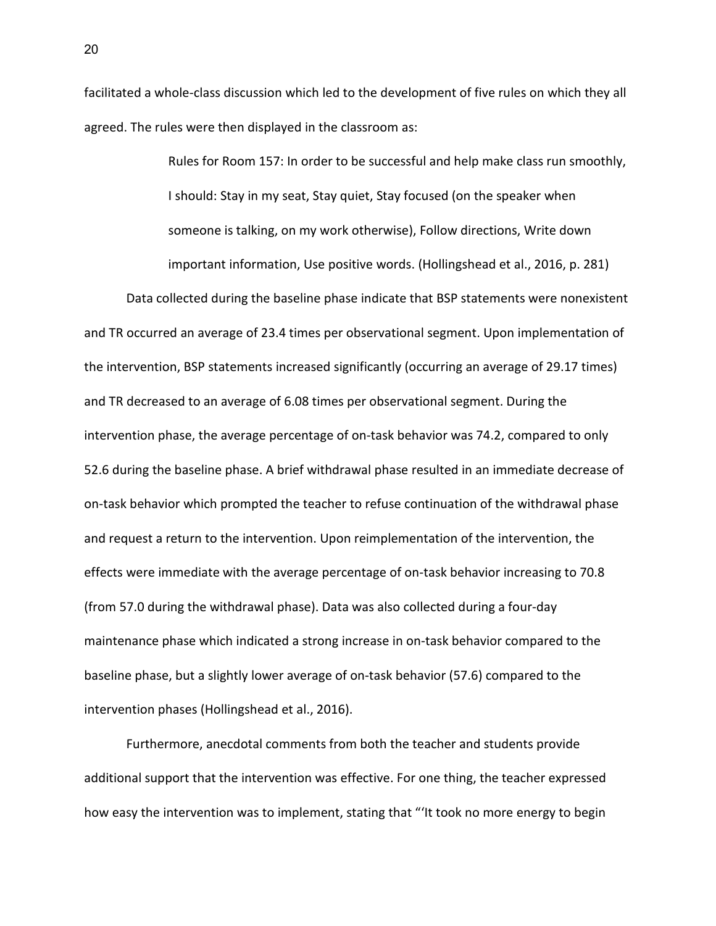facilitated a whole-class discussion which led to the development of five rules on which they all agreed. The rules were then displayed in the classroom as:

> Rules for Room 157: In order to be successful and help make class run smoothly, I should: Stay in my seat, Stay quiet, Stay focused (on the speaker when someone is talking, on my work otherwise), Follow directions, Write down important information, Use positive words. (Hollingshead et al., 2016, p. 281)

Data collected during the baseline phase indicate that BSP statements were nonexistent and TR occurred an average of 23.4 times per observational segment. Upon implementation of the intervention, BSP statements increased significantly (occurring an average of 29.17 times) and TR decreased to an average of 6.08 times per observational segment. During the intervention phase, the average percentage of on-task behavior was 74.2, compared to only 52.6 during the baseline phase. A brief withdrawal phase resulted in an immediate decrease of on-task behavior which prompted the teacher to refuse continuation of the withdrawal phase and request a return to the intervention. Upon reimplementation of the intervention, the effects were immediate with the average percentage of on-task behavior increasing to 70.8 (from 57.0 during the withdrawal phase). Data was also collected during a four-day maintenance phase which indicated a strong increase in on-task behavior compared to the baseline phase, but a slightly lower average of on-task behavior (57.6) compared to the intervention phases (Hollingshead et al., 2016).

Furthermore, anecdotal comments from both the teacher and students provide additional support that the intervention was effective. For one thing, the teacher expressed how easy the intervention was to implement, stating that "'It took no more energy to begin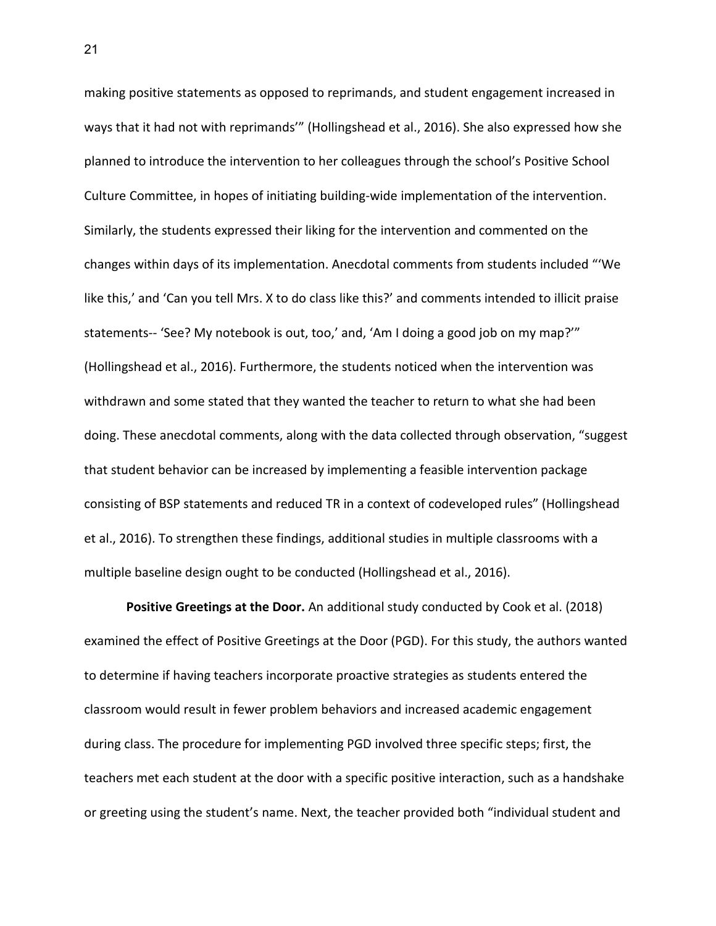making positive statements as opposed to reprimands, and student engagement increased in ways that it had not with reprimands'" (Hollingshead et al., 2016). She also expressed how she planned to introduce the intervention to her colleagues through the school's Positive School Culture Committee, in hopes of initiating building-wide implementation of the intervention. Similarly, the students expressed their liking for the intervention and commented on the changes within days of its implementation. Anecdotal comments from students included "'We like this,' and 'Can you tell Mrs. X to do class like this?' and comments intended to illicit praise statements-- 'See? My notebook is out, too,' and, 'Am I doing a good job on my map?'" (Hollingshead et al., 2016). Furthermore, the students noticed when the intervention was withdrawn and some stated that they wanted the teacher to return to what she had been doing. These anecdotal comments, along with the data collected through observation, "suggest that student behavior can be increased by implementing a feasible intervention package consisting of BSP statements and reduced TR in a context of codeveloped rules" (Hollingshead et al., 2016). To strengthen these findings, additional studies in multiple classrooms with a multiple baseline design ought to be conducted (Hollingshead et al., 2016).

**Positive Greetings at the Door.** An additional study conducted by Cook et al. (2018) examined the effect of Positive Greetings at the Door (PGD). For this study, the authors wanted to determine if having teachers incorporate proactive strategies as students entered the classroom would result in fewer problem behaviors and increased academic engagement during class. The procedure for implementing PGD involved three specific steps; first, the teachers met each student at the door with a specific positive interaction, such as a handshake or greeting using the student's name. Next, the teacher provided both "individual student and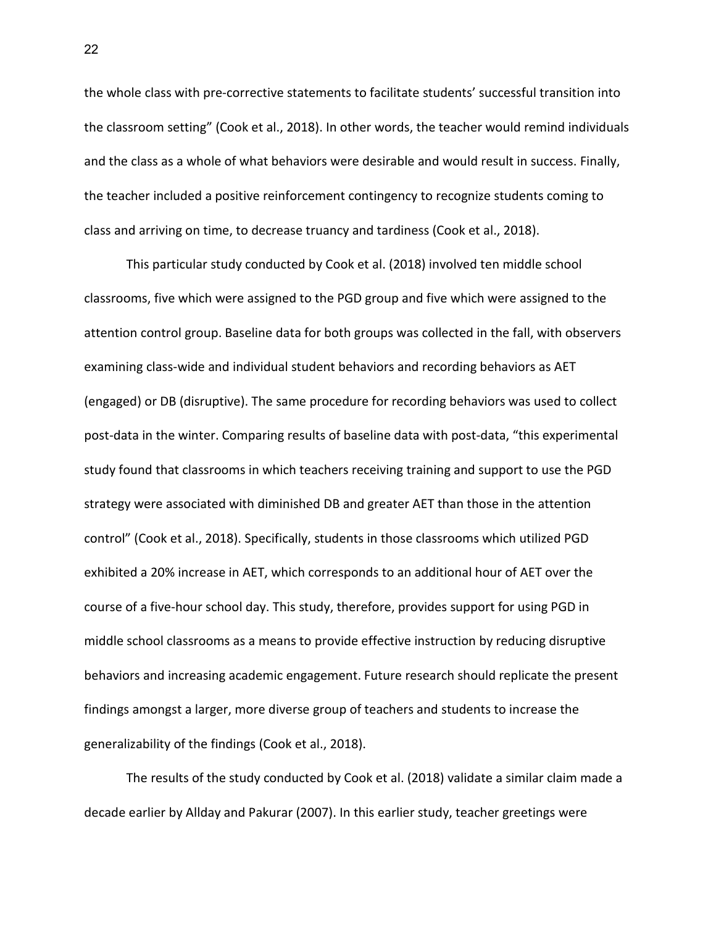the whole class with pre-corrective statements to facilitate students' successful transition into the classroom setting" (Cook et al., 2018). In other words, the teacher would remind individuals and the class as a whole of what behaviors were desirable and would result in success. Finally, the teacher included a positive reinforcement contingency to recognize students coming to class and arriving on time, to decrease truancy and tardiness (Cook et al., 2018).

This particular study conducted by Cook et al. (2018) involved ten middle school classrooms, five which were assigned to the PGD group and five which were assigned to the attention control group. Baseline data for both groups was collected in the fall, with observers examining class-wide and individual student behaviors and recording behaviors as AET (engaged) or DB (disruptive). The same procedure for recording behaviors was used to collect post-data in the winter. Comparing results of baseline data with post-data, "this experimental study found that classrooms in which teachers receiving training and support to use the PGD strategy were associated with diminished DB and greater AET than those in the attention control" (Cook et al., 2018). Specifically, students in those classrooms which utilized PGD exhibited a 20% increase in AET, which corresponds to an additional hour of AET over the course of a five-hour school day. This study, therefore, provides support for using PGD in middle school classrooms as a means to provide effective instruction by reducing disruptive behaviors and increasing academic engagement. Future research should replicate the present findings amongst a larger, more diverse group of teachers and students to increase the generalizability of the findings (Cook et al., 2018).

The results of the study conducted by Cook et al. (2018) validate a similar claim made a decade earlier by Allday and Pakurar (2007). In this earlier study, teacher greetings were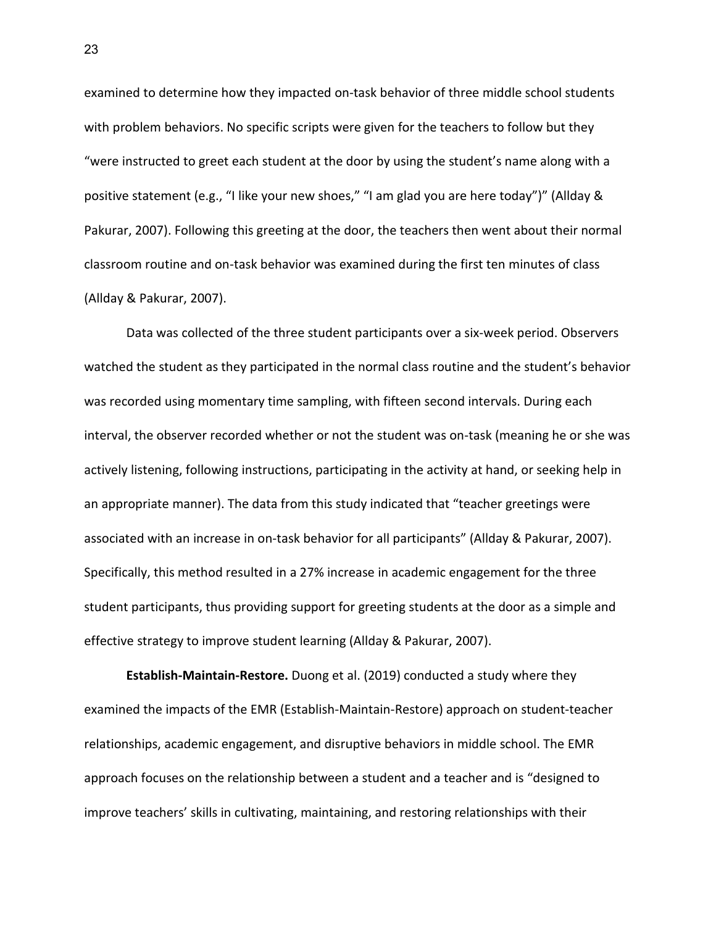examined to determine how they impacted on-task behavior of three middle school students with problem behaviors. No specific scripts were given for the teachers to follow but they "were instructed to greet each student at the door by using the student's name along with a positive statement (e.g., "I like your new shoes," "I am glad you are here today")" (Allday & Pakurar, 2007). Following this greeting at the door, the teachers then went about their normal classroom routine and on-task behavior was examined during the first ten minutes of class (Allday & Pakurar, 2007).

Data was collected of the three student participants over a six-week period. Observers watched the student as they participated in the normal class routine and the student's behavior was recorded using momentary time sampling, with fifteen second intervals. During each interval, the observer recorded whether or not the student was on-task (meaning he or she was actively listening, following instructions, participating in the activity at hand, or seeking help in an appropriate manner). The data from this study indicated that "teacher greetings were associated with an increase in on-task behavior for all participants" (Allday & Pakurar, 2007). Specifically, this method resulted in a 27% increase in academic engagement for the three student participants, thus providing support for greeting students at the door as a simple and effective strategy to improve student learning (Allday & Pakurar, 2007).

**Establish-Maintain-Restore.** Duong et al. (2019) conducted a study where they examined the impacts of the EMR (Establish-Maintain-Restore) approach on student-teacher relationships, academic engagement, and disruptive behaviors in middle school. The EMR approach focuses on the relationship between a student and a teacher and is "designed to improve teachers' skills in cultivating, maintaining, and restoring relationships with their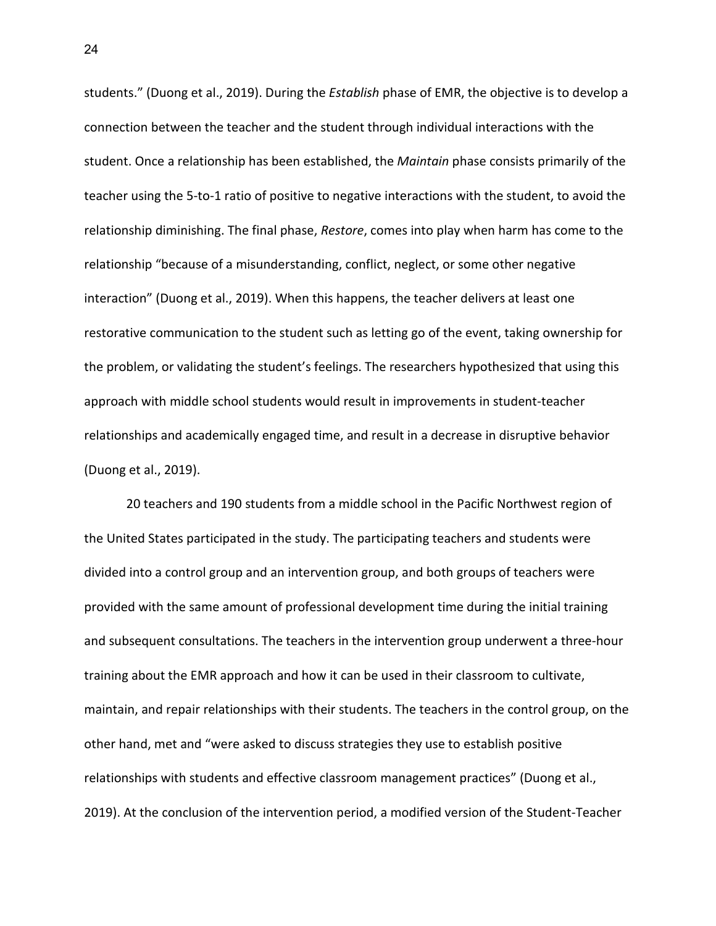students." (Duong et al., 2019). During the *Establish* phase of EMR, the objective is to develop a connection between the teacher and the student through individual interactions with the student. Once a relationship has been established, the *Maintain* phase consists primarily of the teacher using the 5-to-1 ratio of positive to negative interactions with the student, to avoid the relationship diminishing. The final phase, *Restore*, comes into play when harm has come to the relationship "because of a misunderstanding, conflict, neglect, or some other negative interaction" (Duong et al., 2019). When this happens, the teacher delivers at least one restorative communication to the student such as letting go of the event, taking ownership for the problem, or validating the student's feelings. The researchers hypothesized that using this approach with middle school students would result in improvements in student-teacher relationships and academically engaged time, and result in a decrease in disruptive behavior (Duong et al., 2019).

20 teachers and 190 students from a middle school in the Pacific Northwest region of the United States participated in the study. The participating teachers and students were divided into a control group and an intervention group, and both groups of teachers were provided with the same amount of professional development time during the initial training and subsequent consultations. The teachers in the intervention group underwent a three-hour training about the EMR approach and how it can be used in their classroom to cultivate, maintain, and repair relationships with their students. The teachers in the control group, on the other hand, met and "were asked to discuss strategies they use to establish positive relationships with students and effective classroom management practices" (Duong et al., 2019). At the conclusion of the intervention period, a modified version of the Student-Teacher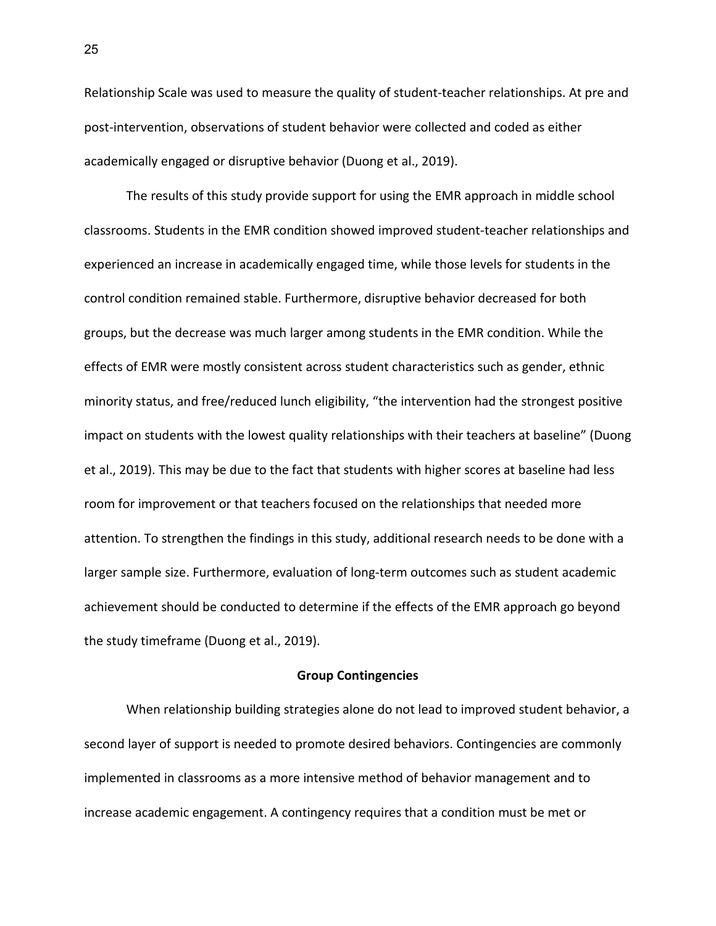Relationship Scale was used to measure the quality of student-teacher relationships. At pre and post-intervention, observations of student behavior were collected and coded as either academically engaged or disruptive behavior (Duong et al., 2019).

The results of this study provide support for using the EMR approach in middle school classrooms. Students in the EMR condition showed improved student-teacher relationships and experienced an increase in academically engaged time, while those levels for students in the control condition remained stable. Furthermore, disruptive behavior decreased for both groups, but the decrease was much larger among students in the EMR condition. While the effects of EMR were mostly consistent across student characteristics such as gender, ethnic minority status, and free/reduced lunch eligibility, "the intervention had the strongest positive impact on students with the lowest quality relationships with their teachers at baseline" (Duong et al., 2019). This may be due to the fact that students with higher scores at baseline had less room for improvement or that teachers focused on the relationships that needed more attention. To strengthen the findings in this study, additional research needs to be done with a larger sample size. Furthermore, evaluation of long-term outcomes such as student academic achievement should be conducted to determine if the effects of the EMR approach go beyond the study timeframe (Duong et al., 2019).

# **Group Contingencies**

When relationship building strategies alone do not lead to improved student behavior, a second layer of support is needed to promote desired behaviors. Contingencies are commonly implemented in classrooms as a more intensive method of behavior management and to increase academic engagement. A contingency requires that a condition must be met or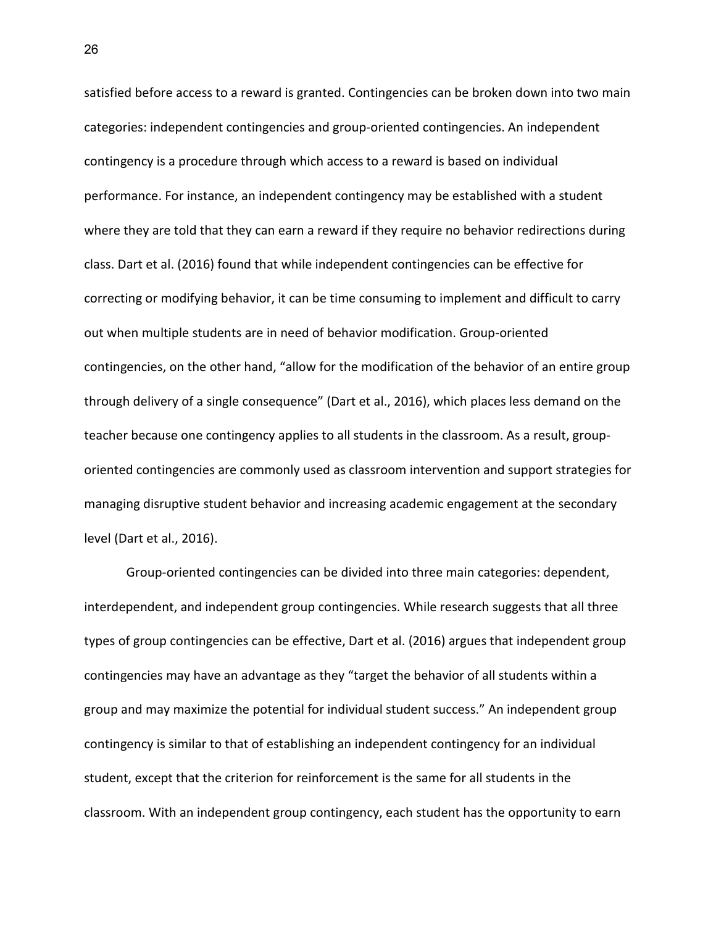satisfied before access to a reward is granted. Contingencies can be broken down into two main categories: independent contingencies and group-oriented contingencies. An independent contingency is a procedure through which access to a reward is based on individual performance. For instance, an independent contingency may be established with a student where they are told that they can earn a reward if they require no behavior redirections during class. Dart et al. (2016) found that while independent contingencies can be effective for correcting or modifying behavior, it can be time consuming to implement and difficult to carry out when multiple students are in need of behavior modification. Group-oriented contingencies, on the other hand, "allow for the modification of the behavior of an entire group through delivery of a single consequence" (Dart et al., 2016), which places less demand on the teacher because one contingency applies to all students in the classroom. As a result, grouporiented contingencies are commonly used as classroom intervention and support strategies for managing disruptive student behavior and increasing academic engagement at the secondary level (Dart et al., 2016).

Group-oriented contingencies can be divided into three main categories: dependent, interdependent, and independent group contingencies. While research suggests that all three types of group contingencies can be effective, Dart et al. (2016) argues that independent group contingencies may have an advantage as they "target the behavior of all students within a group and may maximize the potential for individual student success." An independent group contingency is similar to that of establishing an independent contingency for an individual student, except that the criterion for reinforcement is the same for all students in the classroom. With an independent group contingency, each student has the opportunity to earn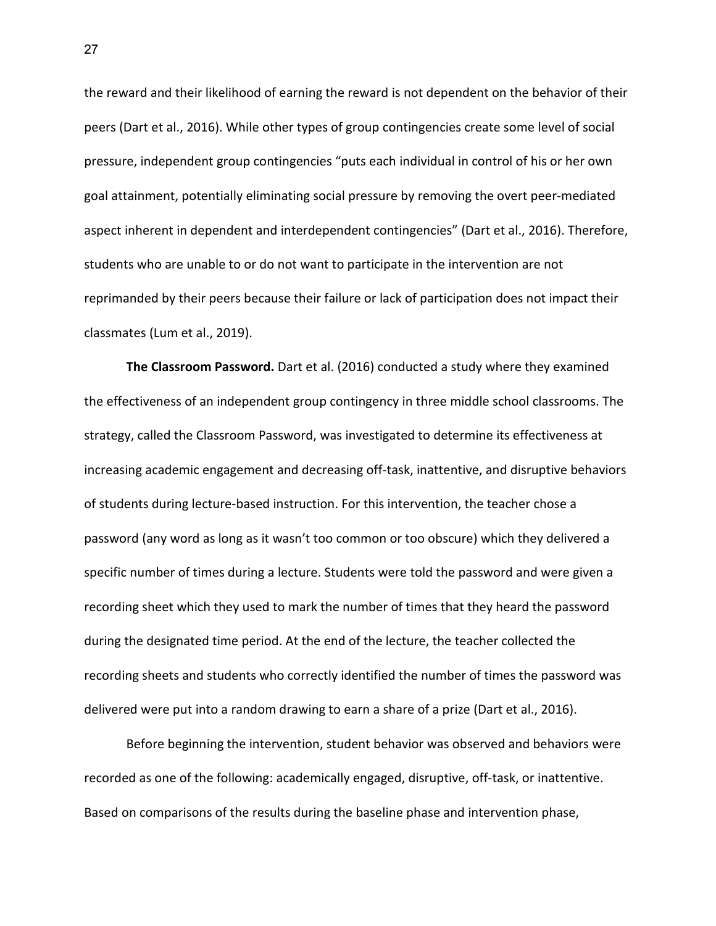the reward and their likelihood of earning the reward is not dependent on the behavior of their peers (Dart et al., 2016). While other types of group contingencies create some level of social pressure, independent group contingencies "puts each individual in control of his or her own goal attainment, potentially eliminating social pressure by removing the overt peer-mediated aspect inherent in dependent and interdependent contingencies" (Dart et al., 2016). Therefore, students who are unable to or do not want to participate in the intervention are not reprimanded by their peers because their failure or lack of participation does not impact their classmates (Lum et al., 2019).

**The Classroom Password.** Dart et al. (2016) conducted a study where they examined the effectiveness of an independent group contingency in three middle school classrooms. The strategy, called the Classroom Password, was investigated to determine its effectiveness at increasing academic engagement and decreasing off-task, inattentive, and disruptive behaviors of students during lecture-based instruction. For this intervention, the teacher chose a password (any word as long as it wasn't too common or too obscure) which they delivered a specific number of times during a lecture. Students were told the password and were given a recording sheet which they used to mark the number of times that they heard the password during the designated time period. At the end of the lecture, the teacher collected the recording sheets and students who correctly identified the number of times the password was delivered were put into a random drawing to earn a share of a prize (Dart et al., 2016).

Before beginning the intervention, student behavior was observed and behaviors were recorded as one of the following: academically engaged, disruptive, off-task, or inattentive. Based on comparisons of the results during the baseline phase and intervention phase,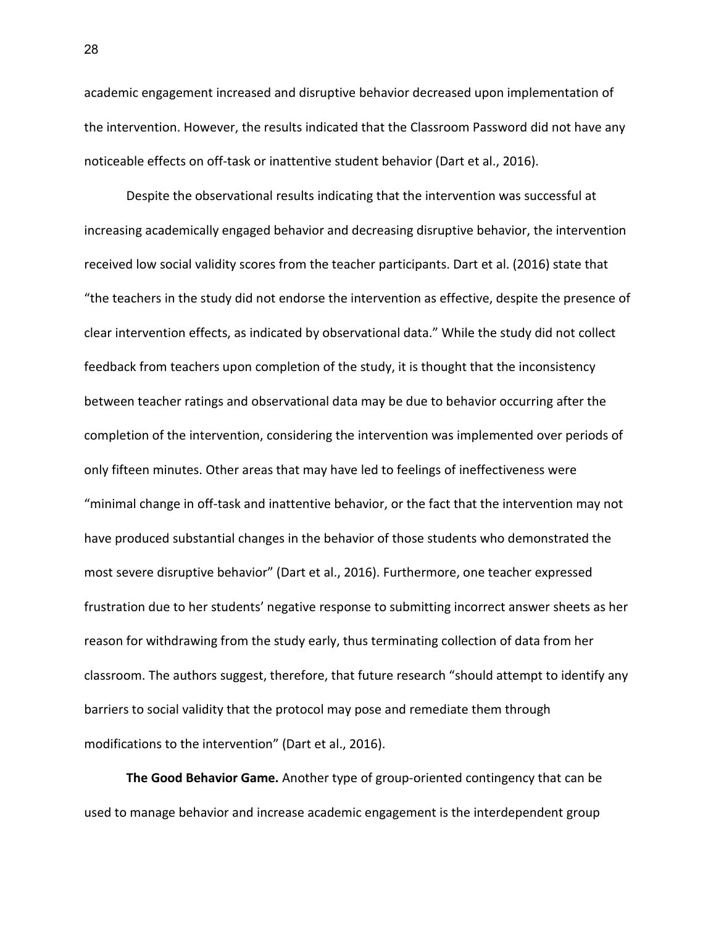academic engagement increased and disruptive behavior decreased upon implementation of the intervention. However, the results indicated that the Classroom Password did not have any noticeable effects on off-task or inattentive student behavior (Dart et al., 2016).

Despite the observational results indicating that the intervention was successful at increasing academically engaged behavior and decreasing disruptive behavior, the intervention received low social validity scores from the teacher participants. Dart et al. (2016) state that "the teachers in the study did not endorse the intervention as effective, despite the presence of clear intervention effects, as indicated by observational data." While the study did not collect feedback from teachers upon completion of the study, it is thought that the inconsistency between teacher ratings and observational data may be due to behavior occurring after the completion of the intervention, considering the intervention was implemented over periods of only fifteen minutes. Other areas that may have led to feelings of ineffectiveness were "minimal change in off-task and inattentive behavior, or the fact that the intervention may not have produced substantial changes in the behavior of those students who demonstrated the most severe disruptive behavior" (Dart et al., 2016). Furthermore, one teacher expressed frustration due to her students' negative response to submitting incorrect answer sheets as her reason for withdrawing from the study early, thus terminating collection of data from her classroom. The authors suggest, therefore, that future research "should attempt to identify any barriers to social validity that the protocol may pose and remediate them through modifications to the intervention" (Dart et al., 2016).

**The Good Behavior Game.** Another type of group-oriented contingency that can be used to manage behavior and increase academic engagement is the interdependent group

28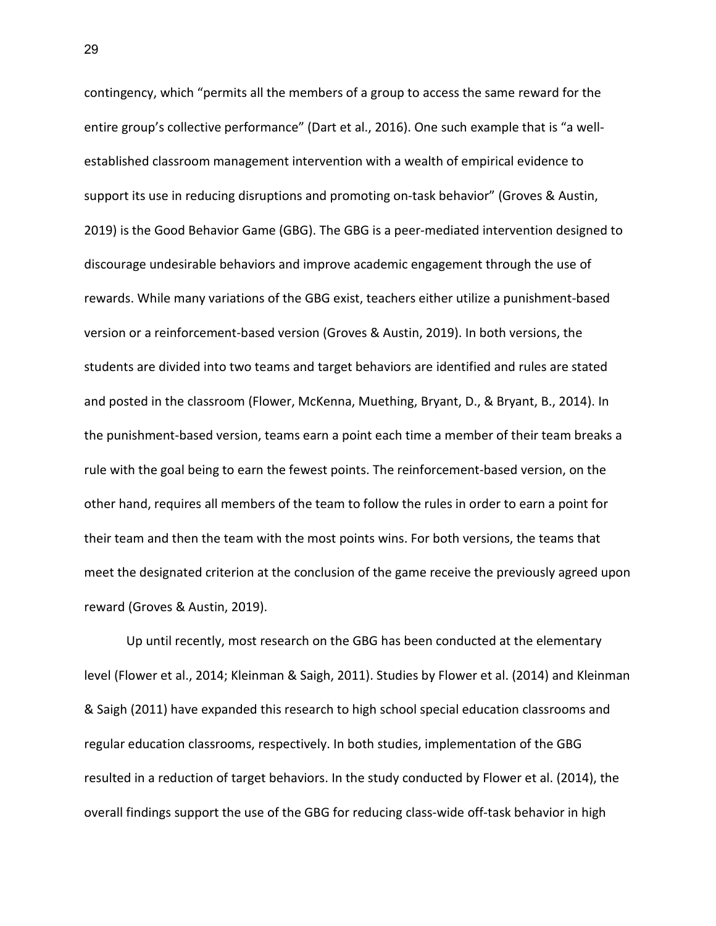contingency, which "permits all the members of a group to access the same reward for the entire group's collective performance" (Dart et al., 2016). One such example that is "a wellestablished classroom management intervention with a wealth of empirical evidence to support its use in reducing disruptions and promoting on-task behavior" (Groves & Austin, 2019) is the Good Behavior Game (GBG). The GBG is a peer-mediated intervention designed to discourage undesirable behaviors and improve academic engagement through the use of rewards. While many variations of the GBG exist, teachers either utilize a punishment-based version or a reinforcement-based version (Groves & Austin, 2019). In both versions, the students are divided into two teams and target behaviors are identified and rules are stated and posted in the classroom (Flower, McKenna, Muething, Bryant, D., & Bryant, B., 2014). In the punishment-based version, teams earn a point each time a member of their team breaks a rule with the goal being to earn the fewest points. The reinforcement-based version, on the other hand, requires all members of the team to follow the rules in order to earn a point for their team and then the team with the most points wins. For both versions, the teams that meet the designated criterion at the conclusion of the game receive the previously agreed upon reward (Groves & Austin, 2019).

Up until recently, most research on the GBG has been conducted at the elementary level (Flower et al., 2014; Kleinman & Saigh, 2011). Studies by Flower et al. (2014) and Kleinman & Saigh (2011) have expanded this research to high school special education classrooms and regular education classrooms, respectively. In both studies, implementation of the GBG resulted in a reduction of target behaviors. In the study conducted by Flower et al. (2014), the overall findings support the use of the GBG for reducing class-wide off-task behavior in high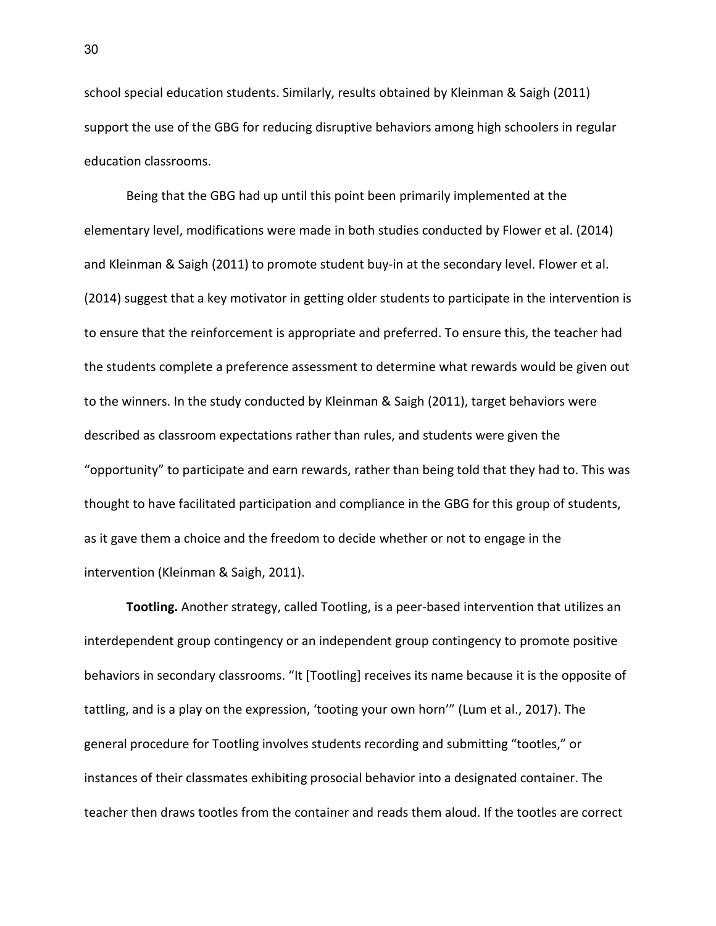school special education students. Similarly, results obtained by Kleinman & Saigh (2011) support the use of the GBG for reducing disruptive behaviors among high schoolers in regular education classrooms.

Being that the GBG had up until this point been primarily implemented at the elementary level, modifications were made in both studies conducted by Flower et al. (2014) and Kleinman & Saigh (2011) to promote student buy-in at the secondary level. Flower et al. (2014) suggest that a key motivator in getting older students to participate in the intervention is to ensure that the reinforcement is appropriate and preferred. To ensure this, the teacher had the students complete a preference assessment to determine what rewards would be given out to the winners. In the study conducted by Kleinman & Saigh (2011), target behaviors were described as classroom expectations rather than rules, and students were given the "opportunity" to participate and earn rewards, rather than being told that they had to. This was thought to have facilitated participation and compliance in the GBG for this group of students, as it gave them a choice and the freedom to decide whether or not to engage in the intervention (Kleinman & Saigh, 2011).

**Tootling.** Another strategy, called Tootling, is a peer-based intervention that utilizes an interdependent group contingency or an independent group contingency to promote positive behaviors in secondary classrooms. "It [Tootling] receives its name because it is the opposite of tattling, and is a play on the expression, 'tooting your own horn'" (Lum et al., 2017). The general procedure for Tootling involves students recording and submitting "tootles," or instances of their classmates exhibiting prosocial behavior into a designated container. The teacher then draws tootles from the container and reads them aloud. If the tootles are correct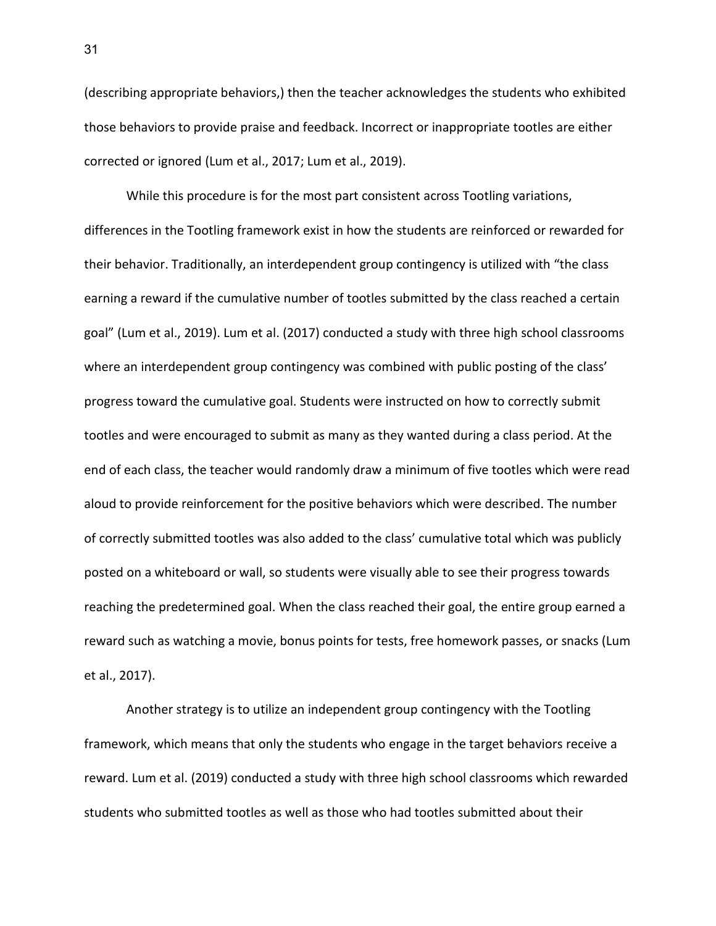(describing appropriate behaviors,) then the teacher acknowledges the students who exhibited those behaviors to provide praise and feedback. Incorrect or inappropriate tootles are either corrected or ignored (Lum et al., 2017; Lum et al., 2019).

While this procedure is for the most part consistent across Tootling variations, differences in the Tootling framework exist in how the students are reinforced or rewarded for their behavior. Traditionally, an interdependent group contingency is utilized with "the class earning a reward if the cumulative number of tootles submitted by the class reached a certain goal" (Lum et al., 2019). Lum et al. (2017) conducted a study with three high school classrooms where an interdependent group contingency was combined with public posting of the class' progress toward the cumulative goal. Students were instructed on how to correctly submit tootles and were encouraged to submit as many as they wanted during a class period. At the end of each class, the teacher would randomly draw a minimum of five tootles which were read aloud to provide reinforcement for the positive behaviors which were described. The number of correctly submitted tootles was also added to the class' cumulative total which was publicly posted on a whiteboard or wall, so students were visually able to see their progress towards reaching the predetermined goal. When the class reached their goal, the entire group earned a reward such as watching a movie, bonus points for tests, free homework passes, or snacks (Lum et al., 2017).

Another strategy is to utilize an independent group contingency with the Tootling framework, which means that only the students who engage in the target behaviors receive a reward. Lum et al. (2019) conducted a study with three high school classrooms which rewarded students who submitted tootles as well as those who had tootles submitted about their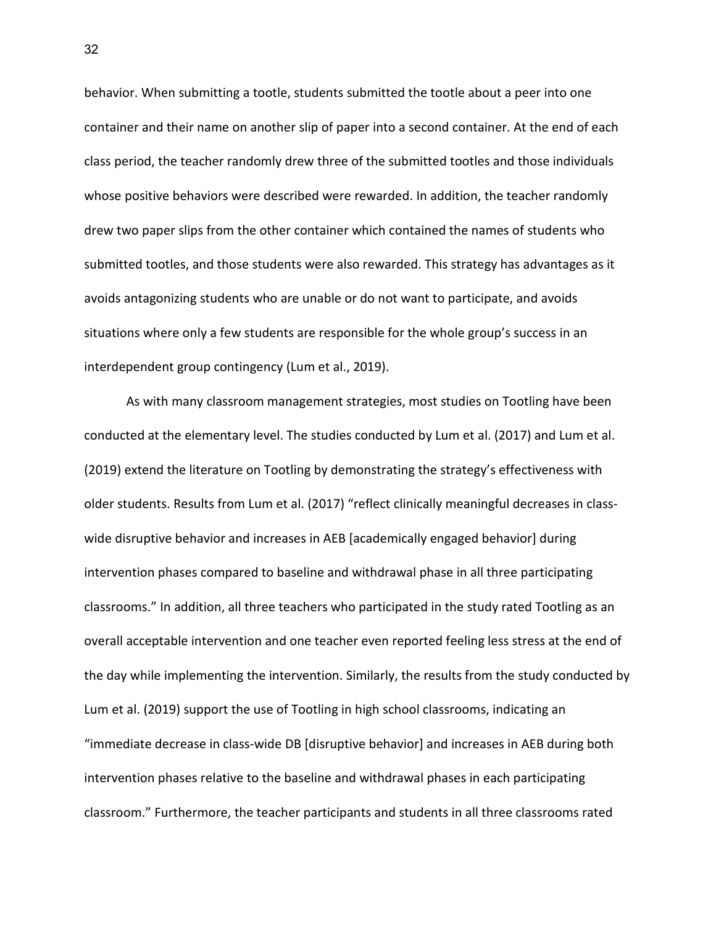behavior. When submitting a tootle, students submitted the tootle about a peer into one container and their name on another slip of paper into a second container. At the end of each class period, the teacher randomly drew three of the submitted tootles and those individuals whose positive behaviors were described were rewarded. In addition, the teacher randomly drew two paper slips from the other container which contained the names of students who submitted tootles, and those students were also rewarded. This strategy has advantages as it avoids antagonizing students who are unable or do not want to participate, and avoids situations where only a few students are responsible for the whole group's success in an interdependent group contingency (Lum et al., 2019).

As with many classroom management strategies, most studies on Tootling have been conducted at the elementary level. The studies conducted by Lum et al. (2017) and Lum et al. (2019) extend the literature on Tootling by demonstrating the strategy's effectiveness with older students. Results from Lum et al. (2017) "reflect clinically meaningful decreases in classwide disruptive behavior and increases in AEB [academically engaged behavior] during intervention phases compared to baseline and withdrawal phase in all three participating classrooms." In addition, all three teachers who participated in the study rated Tootling as an overall acceptable intervention and one teacher even reported feeling less stress at the end of the day while implementing the intervention. Similarly, the results from the study conducted by Lum et al. (2019) support the use of Tootling in high school classrooms, indicating an "immediate decrease in class-wide DB [disruptive behavior] and increases in AEB during both intervention phases relative to the baseline and withdrawal phases in each participating classroom." Furthermore, the teacher participants and students in all three classrooms rated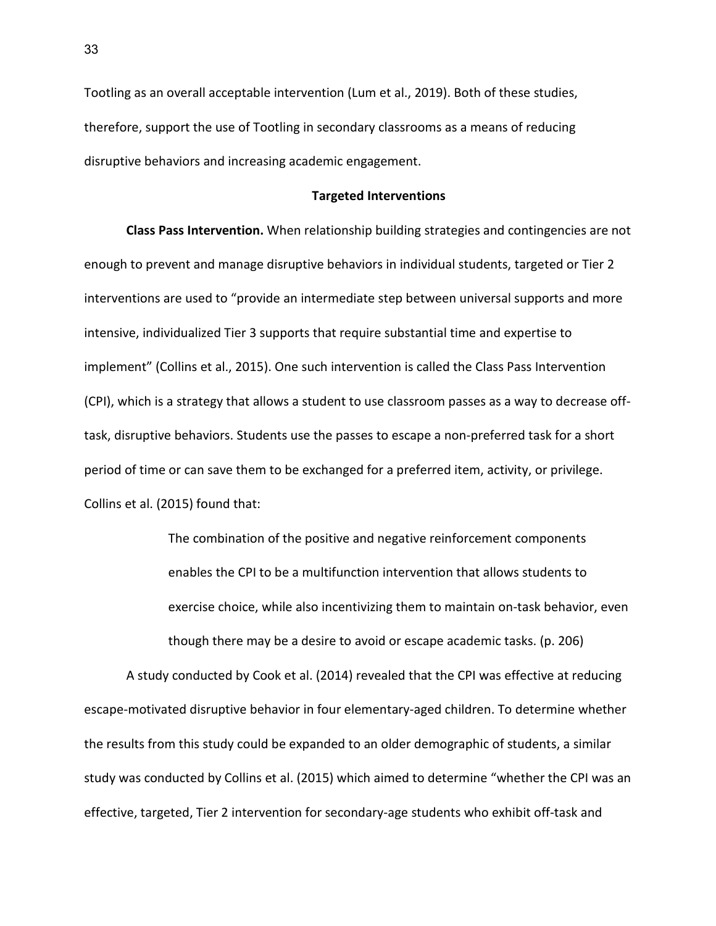Tootling as an overall acceptable intervention (Lum et al., 2019). Both of these studies, therefore, support the use of Tootling in secondary classrooms as a means of reducing disruptive behaviors and increasing academic engagement.

#### **Targeted Interventions**

**Class Pass Intervention.** When relationship building strategies and contingencies are not enough to prevent and manage disruptive behaviors in individual students, targeted or Tier 2 interventions are used to "provide an intermediate step between universal supports and more intensive, individualized Tier 3 supports that require substantial time and expertise to implement" (Collins et al., 2015). One such intervention is called the Class Pass Intervention (CPI), which is a strategy that allows a student to use classroom passes as a way to decrease offtask, disruptive behaviors. Students use the passes to escape a non-preferred task for a short period of time or can save them to be exchanged for a preferred item, activity, or privilege. Collins et al. (2015) found that:

> The combination of the positive and negative reinforcement components enables the CPI to be a multifunction intervention that allows students to exercise choice, while also incentivizing them to maintain on-task behavior, even though there may be a desire to avoid or escape academic tasks. (p. 206)

A study conducted by Cook et al. (2014) revealed that the CPI was effective at reducing escape-motivated disruptive behavior in four elementary-aged children. To determine whether the results from this study could be expanded to an older demographic of students, a similar study was conducted by Collins et al. (2015) which aimed to determine "whether the CPI was an effective, targeted, Tier 2 intervention for secondary-age students who exhibit off-task and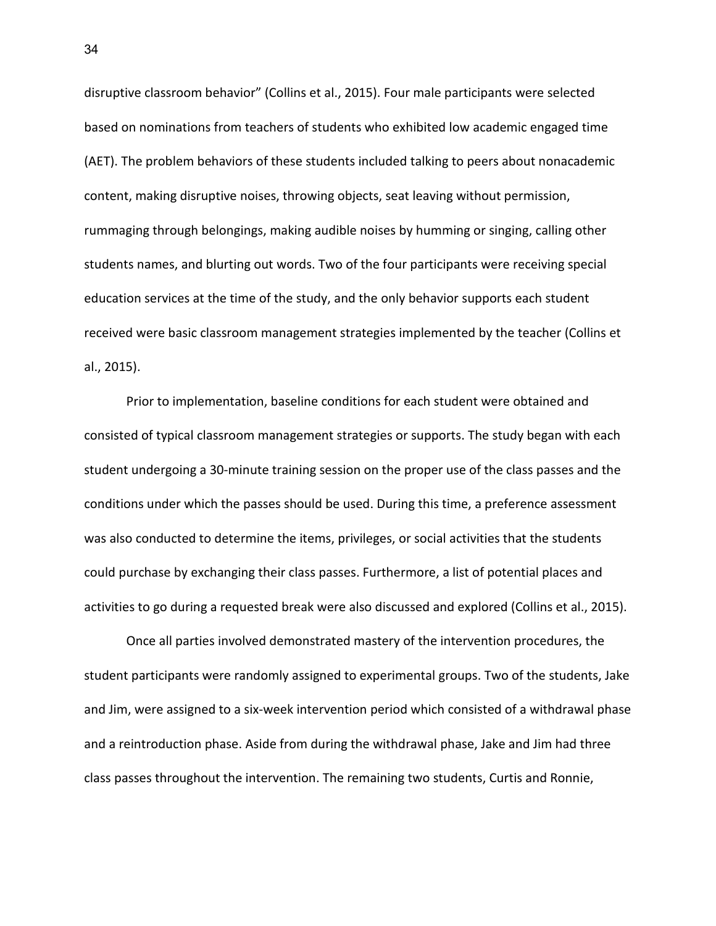disruptive classroom behavior" (Collins et al., 2015). Four male participants were selected based on nominations from teachers of students who exhibited low academic engaged time (AET). The problem behaviors of these students included talking to peers about nonacademic content, making disruptive noises, throwing objects, seat leaving without permission, rummaging through belongings, making audible noises by humming or singing, calling other students names, and blurting out words. Two of the four participants were receiving special education services at the time of the study, and the only behavior supports each student received were basic classroom management strategies implemented by the teacher (Collins et al., 2015).

Prior to implementation, baseline conditions for each student were obtained and consisted of typical classroom management strategies or supports. The study began with each student undergoing a 30-minute training session on the proper use of the class passes and the conditions under which the passes should be used. During this time, a preference assessment was also conducted to determine the items, privileges, or social activities that the students could purchase by exchanging their class passes. Furthermore, a list of potential places and activities to go during a requested break were also discussed and explored (Collins et al., 2015).

Once all parties involved demonstrated mastery of the intervention procedures, the student participants were randomly assigned to experimental groups. Two of the students, Jake and Jim, were assigned to a six-week intervention period which consisted of a withdrawal phase and a reintroduction phase. Aside from during the withdrawal phase, Jake and Jim had three class passes throughout the intervention. The remaining two students, Curtis and Ronnie,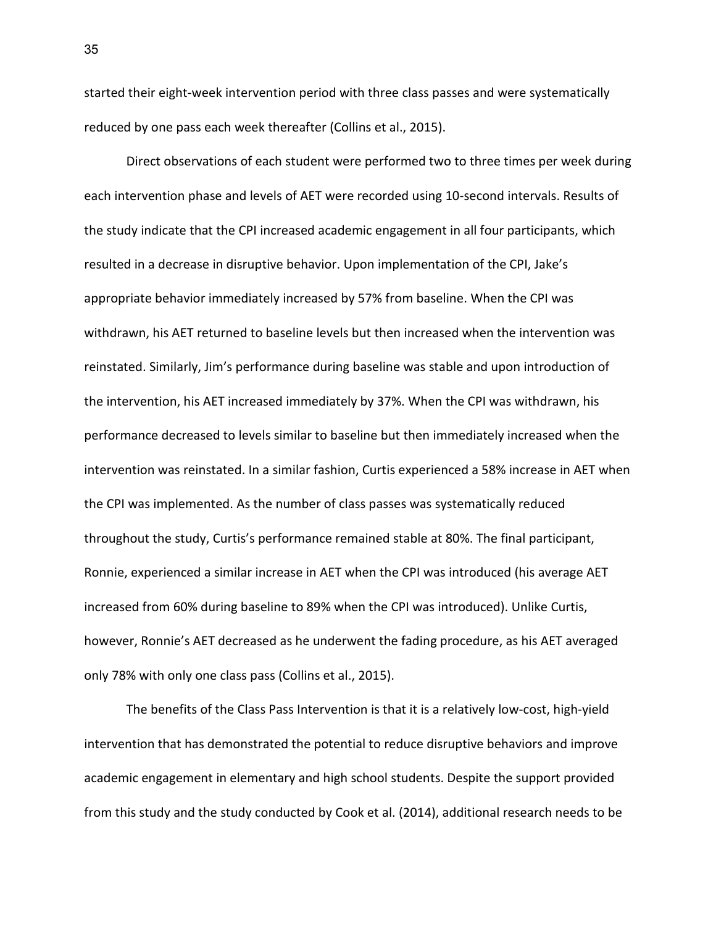started their eight-week intervention period with three class passes and were systematically reduced by one pass each week thereafter (Collins et al., 2015).

Direct observations of each student were performed two to three times per week during each intervention phase and levels of AET were recorded using 10-second intervals. Results of the study indicate that the CPI increased academic engagement in all four participants, which resulted in a decrease in disruptive behavior. Upon implementation of the CPI, Jake's appropriate behavior immediately increased by 57% from baseline. When the CPI was withdrawn, his AET returned to baseline levels but then increased when the intervention was reinstated. Similarly, Jim's performance during baseline was stable and upon introduction of the intervention, his AET increased immediately by 37%. When the CPI was withdrawn, his performance decreased to levels similar to baseline but then immediately increased when the intervention was reinstated. In a similar fashion, Curtis experienced a 58% increase in AET when the CPI was implemented. As the number of class passes was systematically reduced throughout the study, Curtis's performance remained stable at 80%. The final participant, Ronnie, experienced a similar increase in AET when the CPI was introduced (his average AET increased from 60% during baseline to 89% when the CPI was introduced). Unlike Curtis, however, Ronnie's AET decreased as he underwent the fading procedure, as his AET averaged only 78% with only one class pass (Collins et al., 2015).

The benefits of the Class Pass Intervention is that it is a relatively low-cost, high-yield intervention that has demonstrated the potential to reduce disruptive behaviors and improve academic engagement in elementary and high school students. Despite the support provided from this study and the study conducted by Cook et al. (2014), additional research needs to be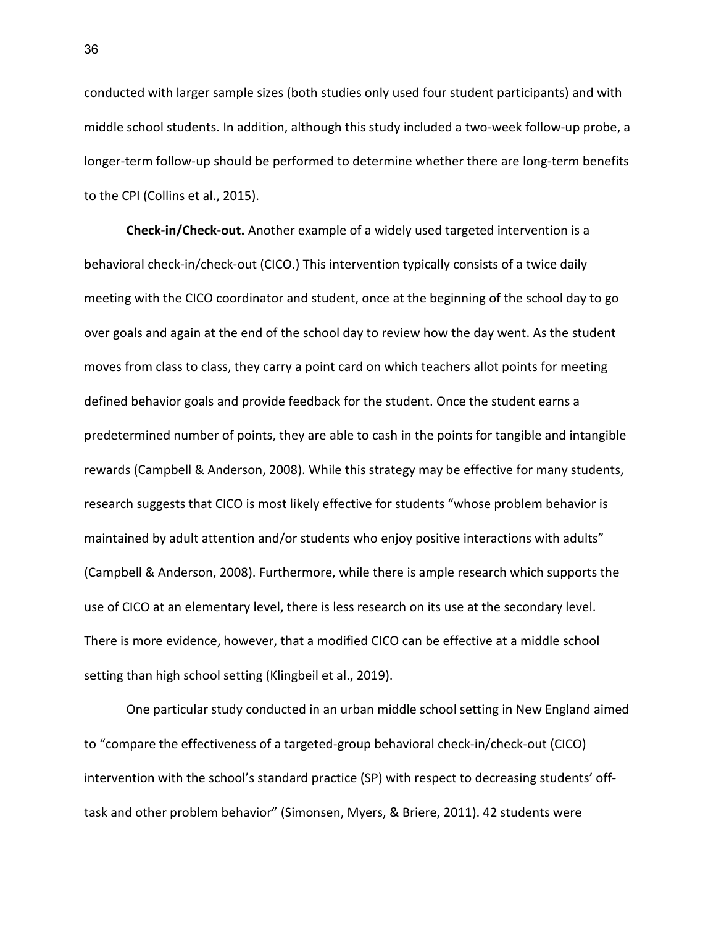conducted with larger sample sizes (both studies only used four student participants) and with middle school students. In addition, although this study included a two-week follow-up probe, a longer-term follow-up should be performed to determine whether there are long-term benefits to the CPI (Collins et al., 2015).

**Check-in/Check-out.** Another example of a widely used targeted intervention is a behavioral check-in/check-out (CICO.) This intervention typically consists of a twice daily meeting with the CICO coordinator and student, once at the beginning of the school day to go over goals and again at the end of the school day to review how the day went. As the student moves from class to class, they carry a point card on which teachers allot points for meeting defined behavior goals and provide feedback for the student. Once the student earns a predetermined number of points, they are able to cash in the points for tangible and intangible rewards (Campbell & Anderson, 2008). While this strategy may be effective for many students, research suggests that CICO is most likely effective for students "whose problem behavior is maintained by adult attention and/or students who enjoy positive interactions with adults" (Campbell & Anderson, 2008). Furthermore, while there is ample research which supports the use of CICO at an elementary level, there is less research on its use at the secondary level. There is more evidence, however, that a modified CICO can be effective at a middle school setting than high school setting (Klingbeil et al., 2019).

One particular study conducted in an urban middle school setting in New England aimed to "compare the effectiveness of a targeted-group behavioral check-in/check-out (CICO) intervention with the school's standard practice (SP) with respect to decreasing students' offtask and other problem behavior" (Simonsen, Myers, & Briere, 2011). 42 students were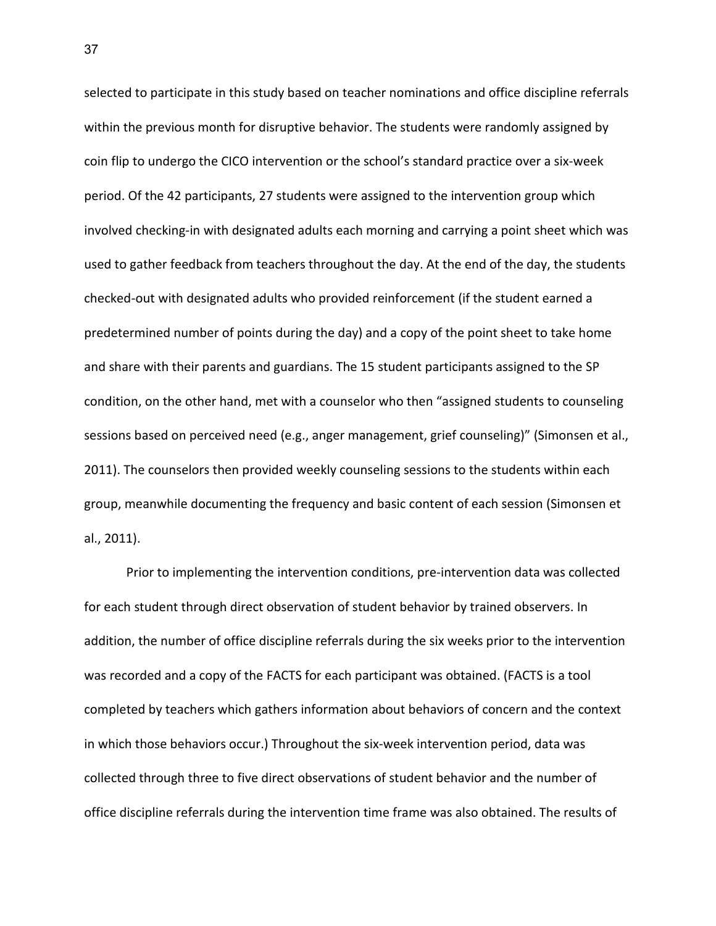selected to participate in this study based on teacher nominations and office discipline referrals within the previous month for disruptive behavior. The students were randomly assigned by coin flip to undergo the CICO intervention or the school's standard practice over a six-week period. Of the 42 participants, 27 students were assigned to the intervention group which involved checking-in with designated adults each morning and carrying a point sheet which was used to gather feedback from teachers throughout the day. At the end of the day, the students checked-out with designated adults who provided reinforcement (if the student earned a predetermined number of points during the day) and a copy of the point sheet to take home and share with their parents and guardians. The 15 student participants assigned to the SP condition, on the other hand, met with a counselor who then "assigned students to counseling sessions based on perceived need (e.g., anger management, grief counseling)" (Simonsen et al., 2011). The counselors then provided weekly counseling sessions to the students within each group, meanwhile documenting the frequency and basic content of each session (Simonsen et al., 2011).

Prior to implementing the intervention conditions, pre-intervention data was collected for each student through direct observation of student behavior by trained observers. In addition, the number of office discipline referrals during the six weeks prior to the intervention was recorded and a copy of the FACTS for each participant was obtained. (FACTS is a tool completed by teachers which gathers information about behaviors of concern and the context in which those behaviors occur.) Throughout the six-week intervention period, data was collected through three to five direct observations of student behavior and the number of office discipline referrals during the intervention time frame was also obtained. The results of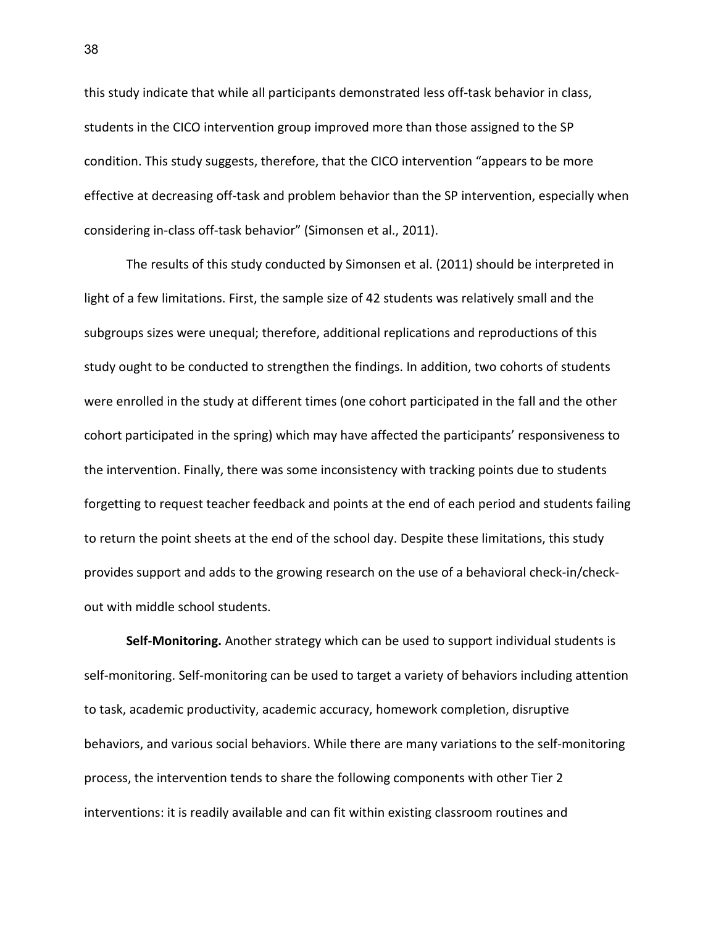this study indicate that while all participants demonstrated less off-task behavior in class, students in the CICO intervention group improved more than those assigned to the SP condition. This study suggests, therefore, that the CICO intervention "appears to be more effective at decreasing off-task and problem behavior than the SP intervention, especially when considering in-class off-task behavior" (Simonsen et al., 2011).

The results of this study conducted by Simonsen et al. (2011) should be interpreted in light of a few limitations. First, the sample size of 42 students was relatively small and the subgroups sizes were unequal; therefore, additional replications and reproductions of this study ought to be conducted to strengthen the findings. In addition, two cohorts of students were enrolled in the study at different times (one cohort participated in the fall and the other cohort participated in the spring) which may have affected the participants' responsiveness to the intervention. Finally, there was some inconsistency with tracking points due to students forgetting to request teacher feedback and points at the end of each period and students failing to return the point sheets at the end of the school day. Despite these limitations, this study provides support and adds to the growing research on the use of a behavioral check-in/checkout with middle school students.

**Self-Monitoring.** Another strategy which can be used to support individual students is self-monitoring. Self-monitoring can be used to target a variety of behaviors including attention to task, academic productivity, academic accuracy, homework completion, disruptive behaviors, and various social behaviors. While there are many variations to the self-monitoring process, the intervention tends to share the following components with other Tier 2 interventions: it is readily available and can fit within existing classroom routines and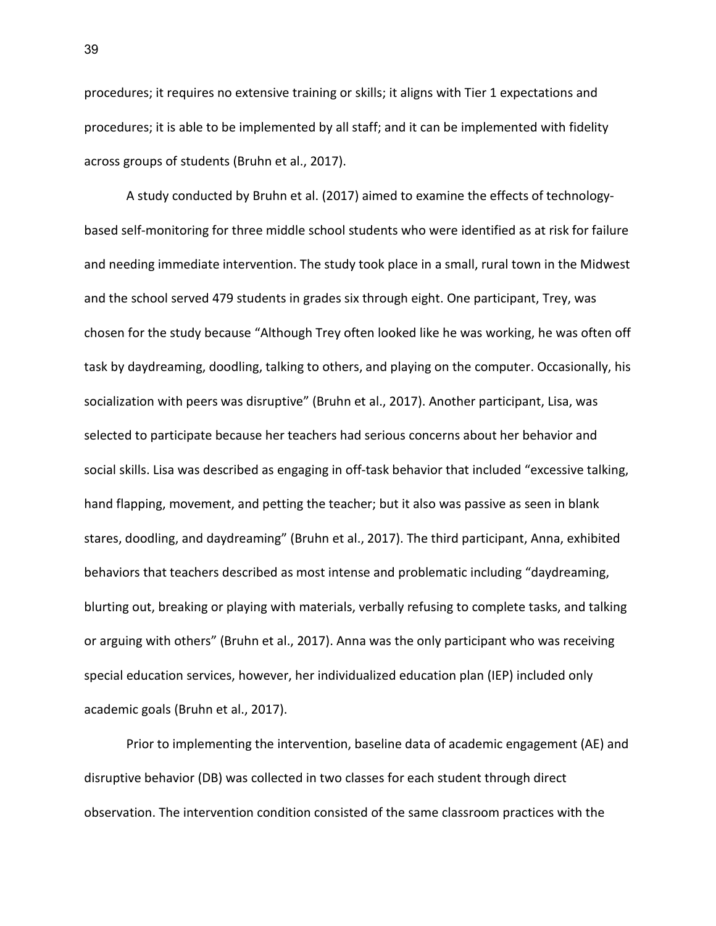procedures; it requires no extensive training or skills; it aligns with Tier 1 expectations and procedures; it is able to be implemented by all staff; and it can be implemented with fidelity across groups of students (Bruhn et al., 2017).

A study conducted by Bruhn et al. (2017) aimed to examine the effects of technologybased self-monitoring for three middle school students who were identified as at risk for failure and needing immediate intervention. The study took place in a small, rural town in the Midwest and the school served 479 students in grades six through eight. One participant, Trey, was chosen for the study because "Although Trey often looked like he was working, he was often off task by daydreaming, doodling, talking to others, and playing on the computer. Occasionally, his socialization with peers was disruptive" (Bruhn et al., 2017). Another participant, Lisa, was selected to participate because her teachers had serious concerns about her behavior and social skills. Lisa was described as engaging in off-task behavior that included "excessive talking, hand flapping, movement, and petting the teacher; but it also was passive as seen in blank stares, doodling, and daydreaming" (Bruhn et al., 2017). The third participant, Anna, exhibited behaviors that teachers described as most intense and problematic including "daydreaming, blurting out, breaking or playing with materials, verbally refusing to complete tasks, and talking or arguing with others" (Bruhn et al., 2017). Anna was the only participant who was receiving special education services, however, her individualized education plan (IEP) included only academic goals (Bruhn et al., 2017).

Prior to implementing the intervention, baseline data of academic engagement (AE) and disruptive behavior (DB) was collected in two classes for each student through direct observation. The intervention condition consisted of the same classroom practices with the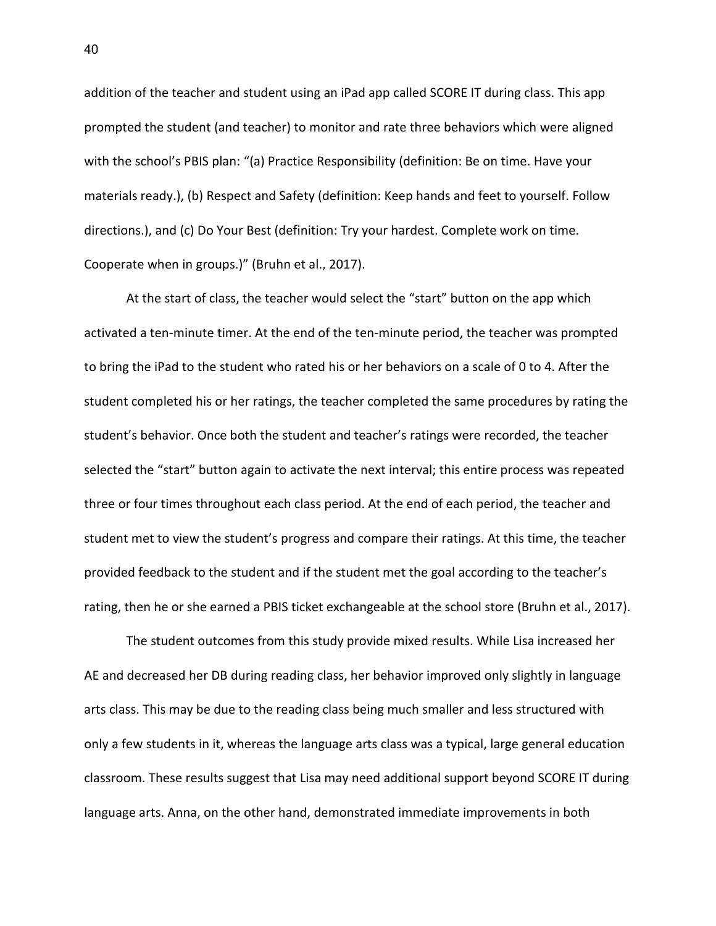addition of the teacher and student using an iPad app called SCORE IT during class. This app prompted the student (and teacher) to monitor and rate three behaviors which were aligned with the school's PBIS plan: "(a) Practice Responsibility (definition: Be on time. Have your materials ready.), (b) Respect and Safety (definition: Keep hands and feet to yourself. Follow directions.), and (c) Do Your Best (definition: Try your hardest. Complete work on time. Cooperate when in groups.)" (Bruhn et al., 2017).

At the start of class, the teacher would select the "start" button on the app which activated a ten-minute timer. At the end of the ten-minute period, the teacher was prompted to bring the iPad to the student who rated his or her behaviors on a scale of 0 to 4. After the student completed his or her ratings, the teacher completed the same procedures by rating the student's behavior. Once both the student and teacher's ratings were recorded, the teacher selected the "start" button again to activate the next interval; this entire process was repeated three or four times throughout each class period. At the end of each period, the teacher and student met to view the student's progress and compare their ratings. At this time, the teacher provided feedback to the student and if the student met the goal according to the teacher's rating, then he or she earned a PBIS ticket exchangeable at the school store (Bruhn et al., 2017).

The student outcomes from this study provide mixed results. While Lisa increased her AE and decreased her DB during reading class, her behavior improved only slightly in language arts class. This may be due to the reading class being much smaller and less structured with only a few students in it, whereas the language arts class was a typical, large general education classroom. These results suggest that Lisa may need additional support beyond SCORE IT during language arts. Anna, on the other hand, demonstrated immediate improvements in both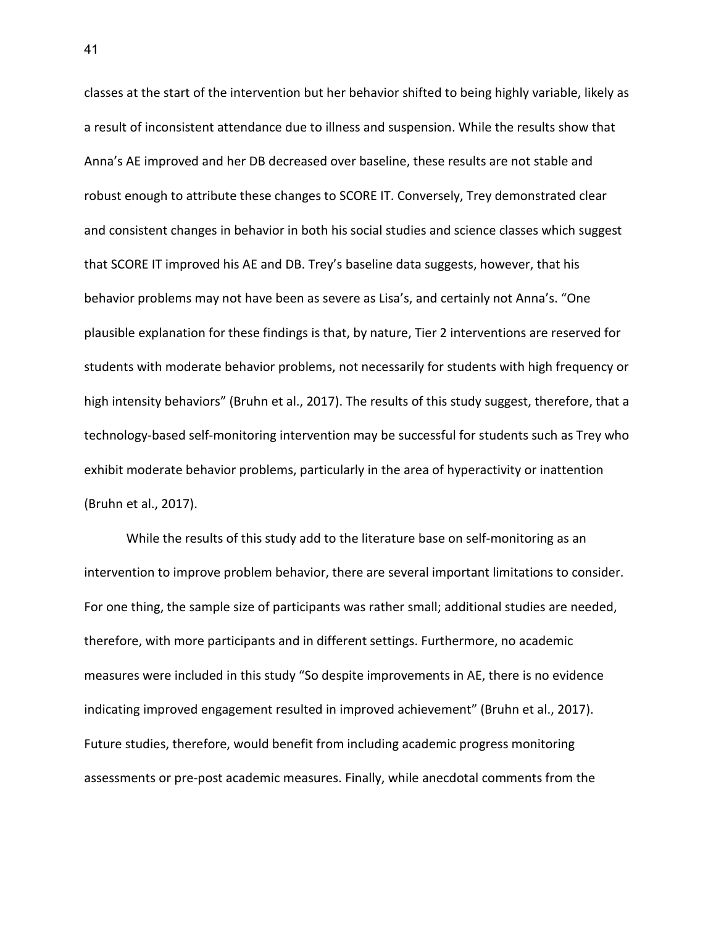classes at the start of the intervention but her behavior shifted to being highly variable, likely as a result of inconsistent attendance due to illness and suspension. While the results show that Anna's AE improved and her DB decreased over baseline, these results are not stable and robust enough to attribute these changes to SCORE IT. Conversely, Trey demonstrated clear and consistent changes in behavior in both his social studies and science classes which suggest that SCORE IT improved his AE and DB. Trey's baseline data suggests, however, that his behavior problems may not have been as severe as Lisa's, and certainly not Anna's. "One plausible explanation for these findings is that, by nature, Tier 2 interventions are reserved for students with moderate behavior problems, not necessarily for students with high frequency or high intensity behaviors" (Bruhn et al., 2017). The results of this study suggest, therefore, that a technology-based self-monitoring intervention may be successful for students such as Trey who exhibit moderate behavior problems, particularly in the area of hyperactivity or inattention (Bruhn et al., 2017).

While the results of this study add to the literature base on self-monitoring as an intervention to improve problem behavior, there are several important limitations to consider. For one thing, the sample size of participants was rather small; additional studies are needed, therefore, with more participants and in different settings. Furthermore, no academic measures were included in this study "So despite improvements in AE, there is no evidence indicating improved engagement resulted in improved achievement" (Bruhn et al., 2017). Future studies, therefore, would benefit from including academic progress monitoring assessments or pre-post academic measures. Finally, while anecdotal comments from the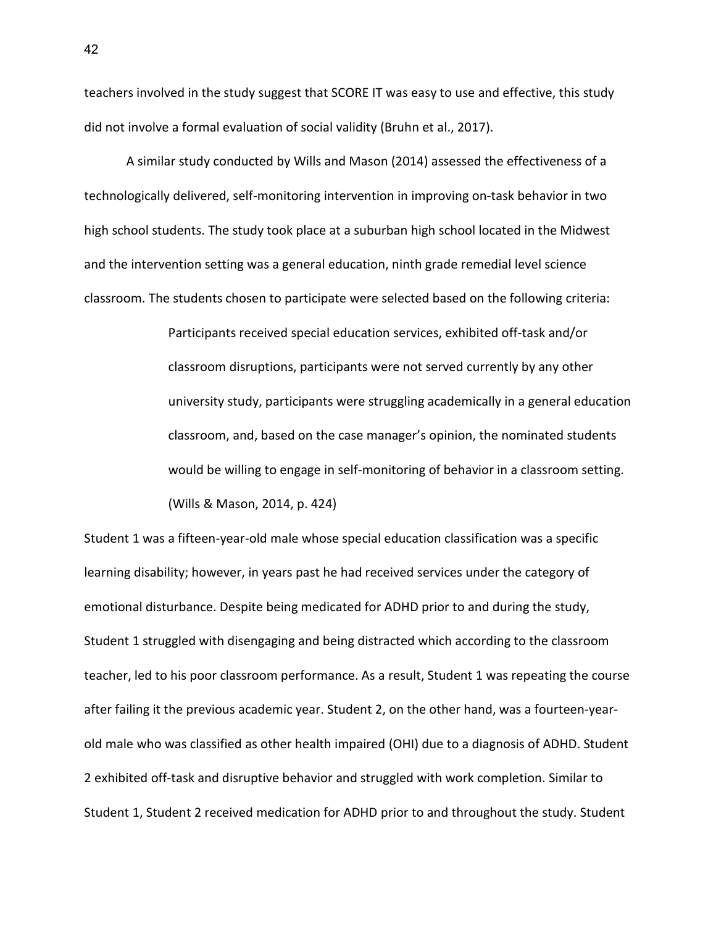teachers involved in the study suggest that SCORE IT was easy to use and effective, this study did not involve a formal evaluation of social validity (Bruhn et al., 2017).

A similar study conducted by Wills and Mason (2014) assessed the effectiveness of a technologically delivered, self-monitoring intervention in improving on-task behavior in two high school students. The study took place at a suburban high school located in the Midwest and the intervention setting was a general education, ninth grade remedial level science classroom. The students chosen to participate were selected based on the following criteria:

> Participants received special education services, exhibited off-task and/or classroom disruptions, participants were not served currently by any other university study, participants were struggling academically in a general education classroom, and, based on the case manager's opinion, the nominated students would be willing to engage in self-monitoring of behavior in a classroom setting. (Wills & Mason, 2014, p. 424)

Student 1 was a fifteen-year-old male whose special education classification was a specific learning disability; however, in years past he had received services under the category of emotional disturbance. Despite being medicated for ADHD prior to and during the study, Student 1 struggled with disengaging and being distracted which according to the classroom teacher, led to his poor classroom performance. As a result, Student 1 was repeating the course after failing it the previous academic year. Student 2, on the other hand, was a fourteen-yearold male who was classified as other health impaired (OHI) due to a diagnosis of ADHD. Student 2 exhibited off-task and disruptive behavior and struggled with work completion. Similar to Student 1, Student 2 received medication for ADHD prior to and throughout the study. Student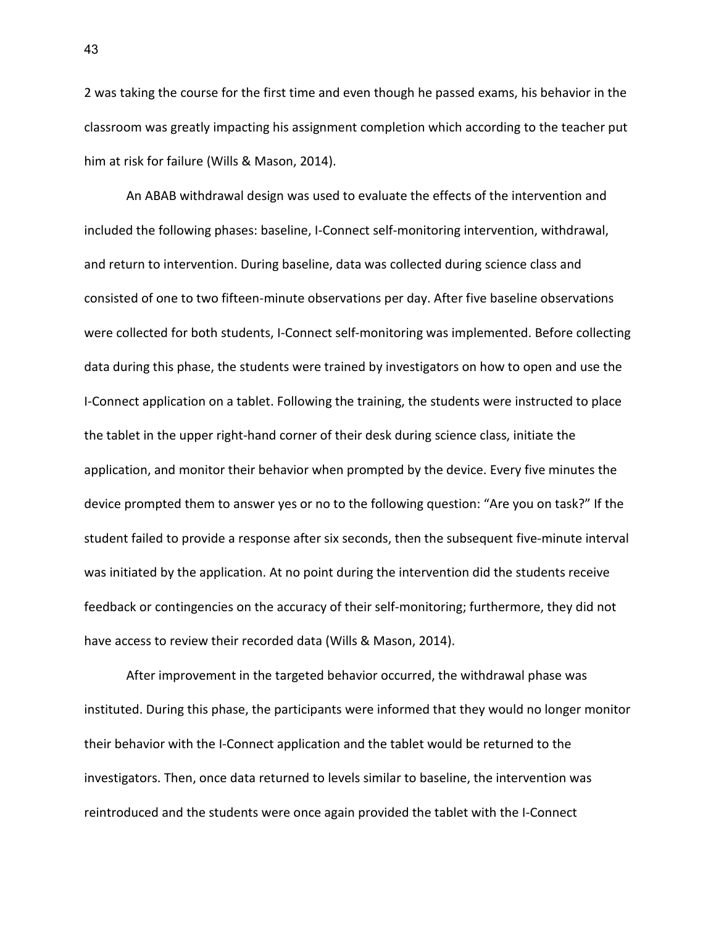2 was taking the course for the first time and even though he passed exams, his behavior in the classroom was greatly impacting his assignment completion which according to the teacher put him at risk for failure (Wills & Mason, 2014).

An ABAB withdrawal design was used to evaluate the effects of the intervention and included the following phases: baseline, I-Connect self-monitoring intervention, withdrawal, and return to intervention. During baseline, data was collected during science class and consisted of one to two fifteen-minute observations per day. After five baseline observations were collected for both students, I-Connect self-monitoring was implemented. Before collecting data during this phase, the students were trained by investigators on how to open and use the I-Connect application on a tablet. Following the training, the students were instructed to place the tablet in the upper right-hand corner of their desk during science class, initiate the application, and monitor their behavior when prompted by the device. Every five minutes the device prompted them to answer yes or no to the following question: "Are you on task?" If the student failed to provide a response after six seconds, then the subsequent five-minute interval was initiated by the application. At no point during the intervention did the students receive feedback or contingencies on the accuracy of their self-monitoring; furthermore, they did not have access to review their recorded data (Wills & Mason, 2014).

After improvement in the targeted behavior occurred, the withdrawal phase was instituted. During this phase, the participants were informed that they would no longer monitor their behavior with the I-Connect application and the tablet would be returned to the investigators. Then, once data returned to levels similar to baseline, the intervention was reintroduced and the students were once again provided the tablet with the I-Connect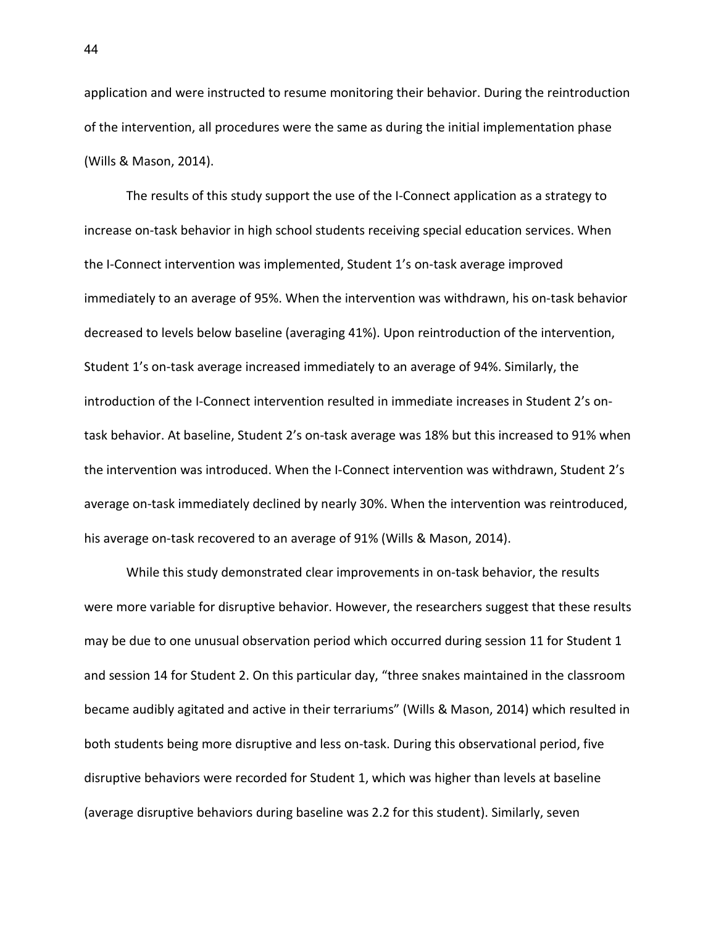application and were instructed to resume monitoring their behavior. During the reintroduction of the intervention, all procedures were the same as during the initial implementation phase (Wills & Mason, 2014).

The results of this study support the use of the I-Connect application as a strategy to increase on-task behavior in high school students receiving special education services. When the I-Connect intervention was implemented, Student 1's on-task average improved immediately to an average of 95%. When the intervention was withdrawn, his on-task behavior decreased to levels below baseline (averaging 41%). Upon reintroduction of the intervention, Student 1's on-task average increased immediately to an average of 94%. Similarly, the introduction of the I-Connect intervention resulted in immediate increases in Student 2's ontask behavior. At baseline, Student 2's on-task average was 18% but this increased to 91% when the intervention was introduced. When the I-Connect intervention was withdrawn, Student 2's average on-task immediately declined by nearly 30%. When the intervention was reintroduced, his average on-task recovered to an average of 91% (Wills & Mason, 2014).

While this study demonstrated clear improvements in on-task behavior, the results were more variable for disruptive behavior. However, the researchers suggest that these results may be due to one unusual observation period which occurred during session 11 for Student 1 and session 14 for Student 2. On this particular day, "three snakes maintained in the classroom became audibly agitated and active in their terrariums" (Wills & Mason, 2014) which resulted in both students being more disruptive and less on-task. During this observational period, five disruptive behaviors were recorded for Student 1, which was higher than levels at baseline (average disruptive behaviors during baseline was 2.2 for this student). Similarly, seven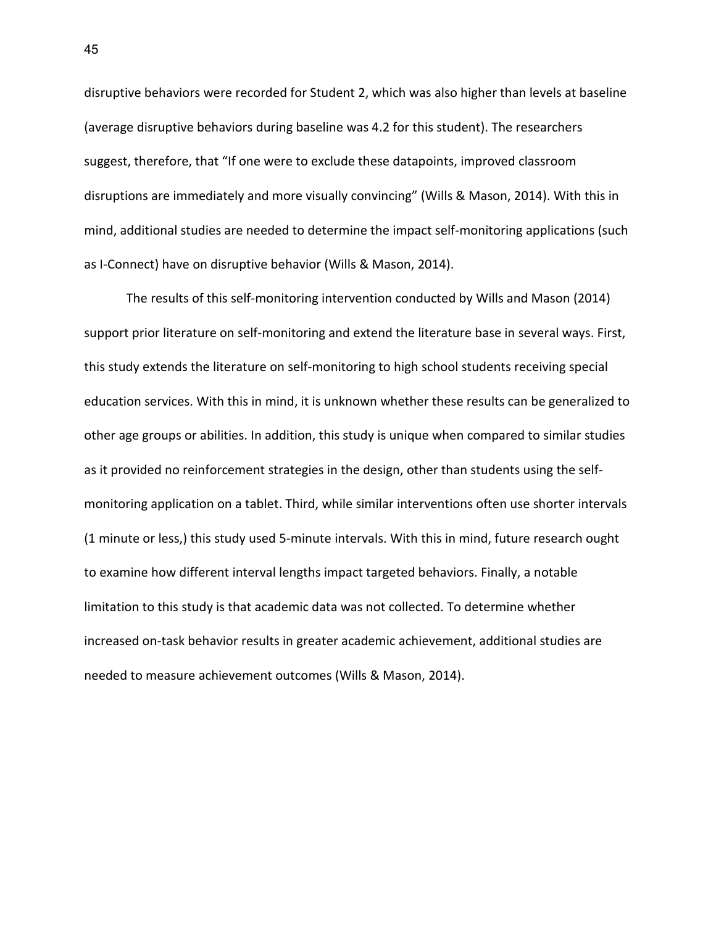disruptive behaviors were recorded for Student 2, which was also higher than levels at baseline (average disruptive behaviors during baseline was 4.2 for this student). The researchers suggest, therefore, that "If one were to exclude these datapoints, improved classroom disruptions are immediately and more visually convincing" (Wills & Mason, 2014). With this in mind, additional studies are needed to determine the impact self-monitoring applications (such as I-Connect) have on disruptive behavior (Wills & Mason, 2014).

The results of this self-monitoring intervention conducted by Wills and Mason (2014) support prior literature on self-monitoring and extend the literature base in several ways. First, this study extends the literature on self-monitoring to high school students receiving special education services. With this in mind, it is unknown whether these results can be generalized to other age groups or abilities. In addition, this study is unique when compared to similar studies as it provided no reinforcement strategies in the design, other than students using the selfmonitoring application on a tablet. Third, while similar interventions often use shorter intervals (1 minute or less,) this study used 5-minute intervals. With this in mind, future research ought to examine how different interval lengths impact targeted behaviors. Finally, a notable limitation to this study is that academic data was not collected. To determine whether increased on-task behavior results in greater academic achievement, additional studies are needed to measure achievement outcomes (Wills & Mason, 2014).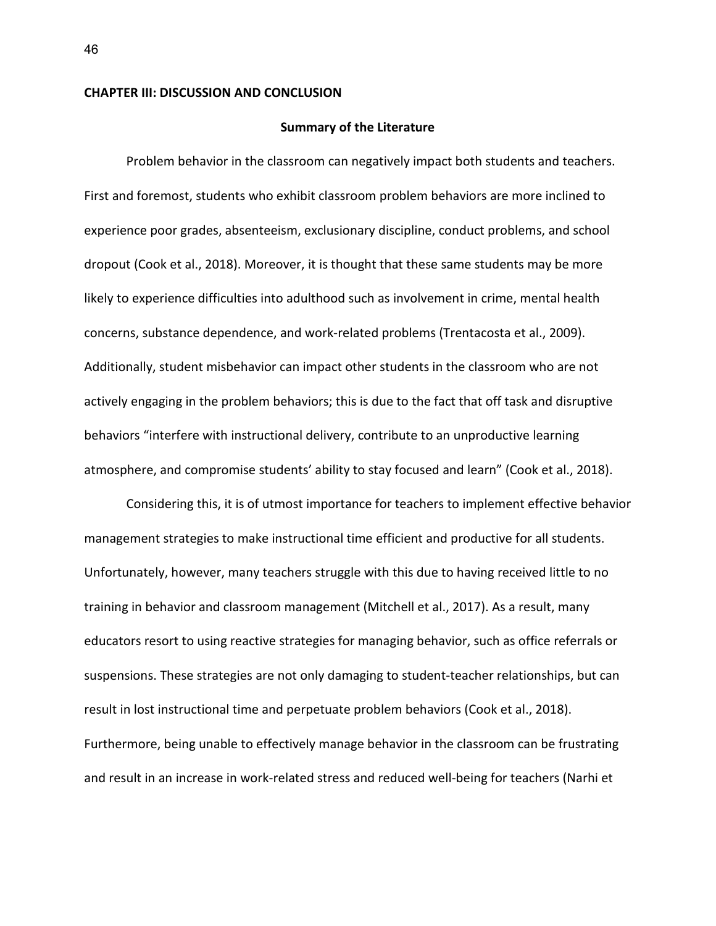#### **CHAPTER III: DISCUSSION AND CONCLUSION**

#### **Summary of the Literature**

Problem behavior in the classroom can negatively impact both students and teachers. First and foremost, students who exhibit classroom problem behaviors are more inclined to experience poor grades, absenteeism, exclusionary discipline, conduct problems, and school dropout (Cook et al., 2018). Moreover, it is thought that these same students may be more likely to experience difficulties into adulthood such as involvement in crime, mental health concerns, substance dependence, and work-related problems (Trentacosta et al., 2009). Additionally, student misbehavior can impact other students in the classroom who are not actively engaging in the problem behaviors; this is due to the fact that off task and disruptive behaviors "interfere with instructional delivery, contribute to an unproductive learning atmosphere, and compromise students' ability to stay focused and learn" (Cook et al., 2018).

Considering this, it is of utmost importance for teachers to implement effective behavior management strategies to make instructional time efficient and productive for all students. Unfortunately, however, many teachers struggle with this due to having received little to no training in behavior and classroom management (Mitchell et al., 2017). As a result, many educators resort to using reactive strategies for managing behavior, such as office referrals or suspensions. These strategies are not only damaging to student-teacher relationships, but can result in lost instructional time and perpetuate problem behaviors (Cook et al., 2018). Furthermore, being unable to effectively manage behavior in the classroom can be frustrating and result in an increase in work-related stress and reduced well-being for teachers (Narhi et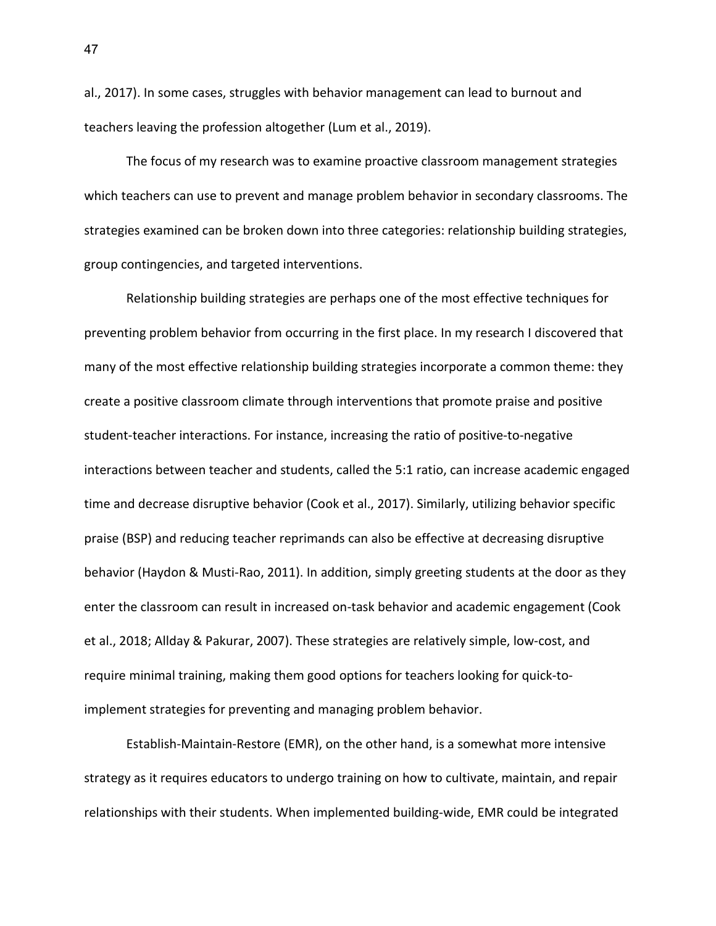al., 2017). In some cases, struggles with behavior management can lead to burnout and teachers leaving the profession altogether (Lum et al., 2019).

The focus of my research was to examine proactive classroom management strategies which teachers can use to prevent and manage problem behavior in secondary classrooms. The strategies examined can be broken down into three categories: relationship building strategies, group contingencies, and targeted interventions.

Relationship building strategies are perhaps one of the most effective techniques for preventing problem behavior from occurring in the first place. In my research I discovered that many of the most effective relationship building strategies incorporate a common theme: they create a positive classroom climate through interventions that promote praise and positive student-teacher interactions. For instance, increasing the ratio of positive-to-negative interactions between teacher and students, called the 5:1 ratio, can increase academic engaged time and decrease disruptive behavior (Cook et al., 2017). Similarly, utilizing behavior specific praise (BSP) and reducing teacher reprimands can also be effective at decreasing disruptive behavior (Haydon & Musti-Rao, 2011). In addition, simply greeting students at the door as they enter the classroom can result in increased on-task behavior and academic engagement (Cook et al., 2018; Allday & Pakurar, 2007). These strategies are relatively simple, low-cost, and require minimal training, making them good options for teachers looking for quick-toimplement strategies for preventing and managing problem behavior.

Establish-Maintain-Restore (EMR), on the other hand, is a somewhat more intensive strategy as it requires educators to undergo training on how to cultivate, maintain, and repair relationships with their students. When implemented building-wide, EMR could be integrated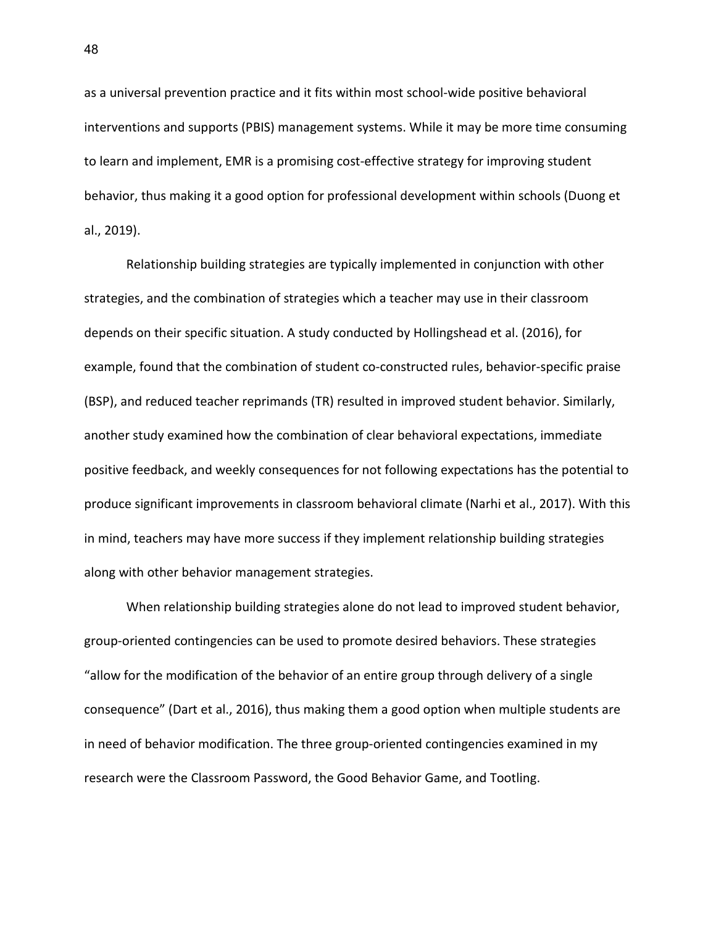as a universal prevention practice and it fits within most school-wide positive behavioral interventions and supports (PBIS) management systems. While it may be more time consuming to learn and implement, EMR is a promising cost-effective strategy for improving student behavior, thus making it a good option for professional development within schools (Duong et al., 2019).

Relationship building strategies are typically implemented in conjunction with other strategies, and the combination of strategies which a teacher may use in their classroom depends on their specific situation. A study conducted by Hollingshead et al. (2016), for example, found that the combination of student co-constructed rules, behavior-specific praise (BSP), and reduced teacher reprimands (TR) resulted in improved student behavior. Similarly, another study examined how the combination of clear behavioral expectations, immediate positive feedback, and weekly consequences for not following expectations has the potential to produce significant improvements in classroom behavioral climate (Narhi et al., 2017). With this in mind, teachers may have more success if they implement relationship building strategies along with other behavior management strategies.

When relationship building strategies alone do not lead to improved student behavior, group-oriented contingencies can be used to promote desired behaviors. These strategies "allow for the modification of the behavior of an entire group through delivery of a single consequence" (Dart et al., 2016), thus making them a good option when multiple students are in need of behavior modification. The three group-oriented contingencies examined in my research were the Classroom Password, the Good Behavior Game, and Tootling.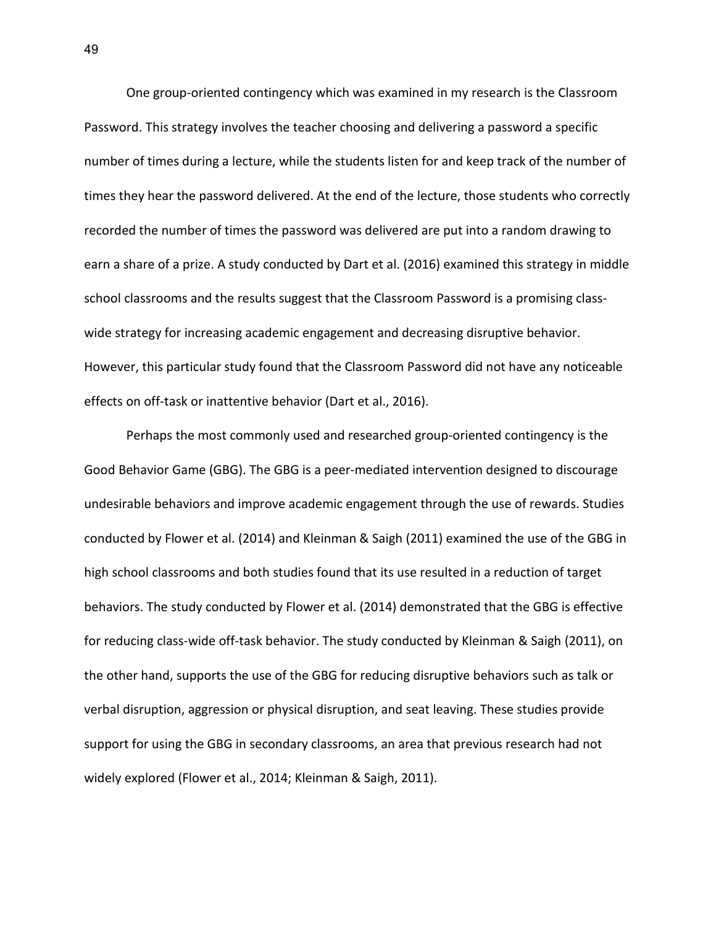One group-oriented contingency which was examined in my research is the Classroom Password. This strategy involves the teacher choosing and delivering a password a specific number of times during a lecture, while the students listen for and keep track of the number of times they hear the password delivered. At the end of the lecture, those students who correctly recorded the number of times the password was delivered are put into a random drawing to earn a share of a prize. A study conducted by Dart et al. (2016) examined this strategy in middle school classrooms and the results suggest that the Classroom Password is a promising classwide strategy for increasing academic engagement and decreasing disruptive behavior. However, this particular study found that the Classroom Password did not have any noticeable effects on off-task or inattentive behavior (Dart et al., 2016).

Perhaps the most commonly used and researched group-oriented contingency is the Good Behavior Game (GBG). The GBG is a peer-mediated intervention designed to discourage undesirable behaviors and improve academic engagement through the use of rewards. Studies conducted by Flower et al. (2014) and Kleinman & Saigh (2011) examined the use of the GBG in high school classrooms and both studies found that its use resulted in a reduction of target behaviors. The study conducted by Flower et al. (2014) demonstrated that the GBG is effective for reducing class-wide off-task behavior. The study conducted by Kleinman & Saigh (2011), on the other hand, supports the use of the GBG for reducing disruptive behaviors such as talk or verbal disruption, aggression or physical disruption, and seat leaving. These studies provide support for using the GBG in secondary classrooms, an area that previous research had not widely explored (Flower et al., 2014; Kleinman & Saigh, 2011).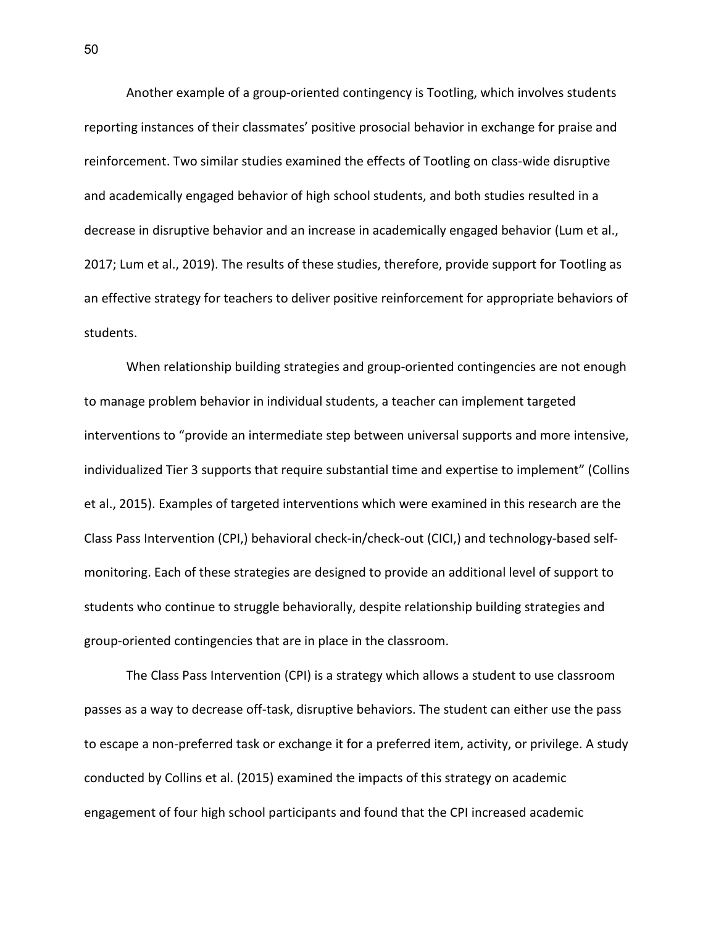Another example of a group-oriented contingency is Tootling, which involves students reporting instances of their classmates' positive prosocial behavior in exchange for praise and reinforcement. Two similar studies examined the effects of Tootling on class-wide disruptive and academically engaged behavior of high school students, and both studies resulted in a decrease in disruptive behavior and an increase in academically engaged behavior (Lum et al., 2017; Lum et al., 2019). The results of these studies, therefore, provide support for Tootling as an effective strategy for teachers to deliver positive reinforcement for appropriate behaviors of students.

When relationship building strategies and group-oriented contingencies are not enough to manage problem behavior in individual students, a teacher can implement targeted interventions to "provide an intermediate step between universal supports and more intensive, individualized Tier 3 supports that require substantial time and expertise to implement" (Collins et al., 2015). Examples of targeted interventions which were examined in this research are the Class Pass Intervention (CPI,) behavioral check-in/check-out (CICI,) and technology-based selfmonitoring. Each of these strategies are designed to provide an additional level of support to students who continue to struggle behaviorally, despite relationship building strategies and group-oriented contingencies that are in place in the classroom.

The Class Pass Intervention (CPI) is a strategy which allows a student to use classroom passes as a way to decrease off-task, disruptive behaviors. The student can either use the pass to escape a non-preferred task or exchange it for a preferred item, activity, or privilege. A study conducted by Collins et al. (2015) examined the impacts of this strategy on academic engagement of four high school participants and found that the CPI increased academic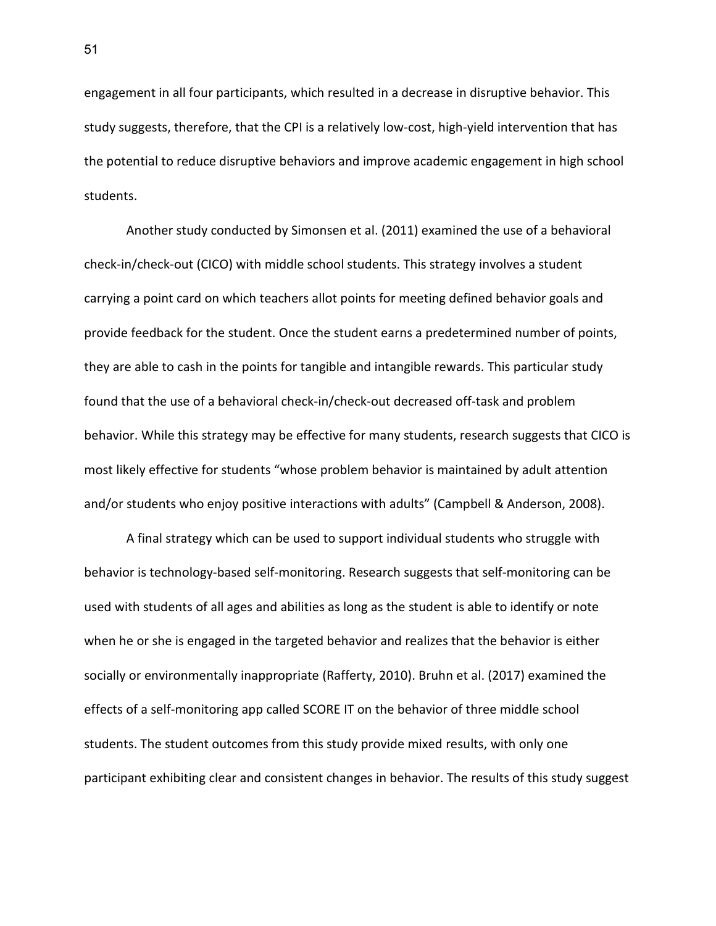engagement in all four participants, which resulted in a decrease in disruptive behavior. This study suggests, therefore, that the CPI is a relatively low-cost, high-yield intervention that has the potential to reduce disruptive behaviors and improve academic engagement in high school students.

Another study conducted by Simonsen et al. (2011) examined the use of a behavioral check-in/check-out (CICO) with middle school students. This strategy involves a student carrying a point card on which teachers allot points for meeting defined behavior goals and provide feedback for the student. Once the student earns a predetermined number of points, they are able to cash in the points for tangible and intangible rewards. This particular study found that the use of a behavioral check-in/check-out decreased off-task and problem behavior. While this strategy may be effective for many students, research suggests that CICO is most likely effective for students "whose problem behavior is maintained by adult attention and/or students who enjoy positive interactions with adults" (Campbell & Anderson, 2008).

A final strategy which can be used to support individual students who struggle with behavior is technology-based self-monitoring. Research suggests that self-monitoring can be used with students of all ages and abilities as long as the student is able to identify or note when he or she is engaged in the targeted behavior and realizes that the behavior is either socially or environmentally inappropriate (Rafferty, 2010). Bruhn et al. (2017) examined the effects of a self-monitoring app called SCORE IT on the behavior of three middle school students. The student outcomes from this study provide mixed results, with only one participant exhibiting clear and consistent changes in behavior. The results of this study suggest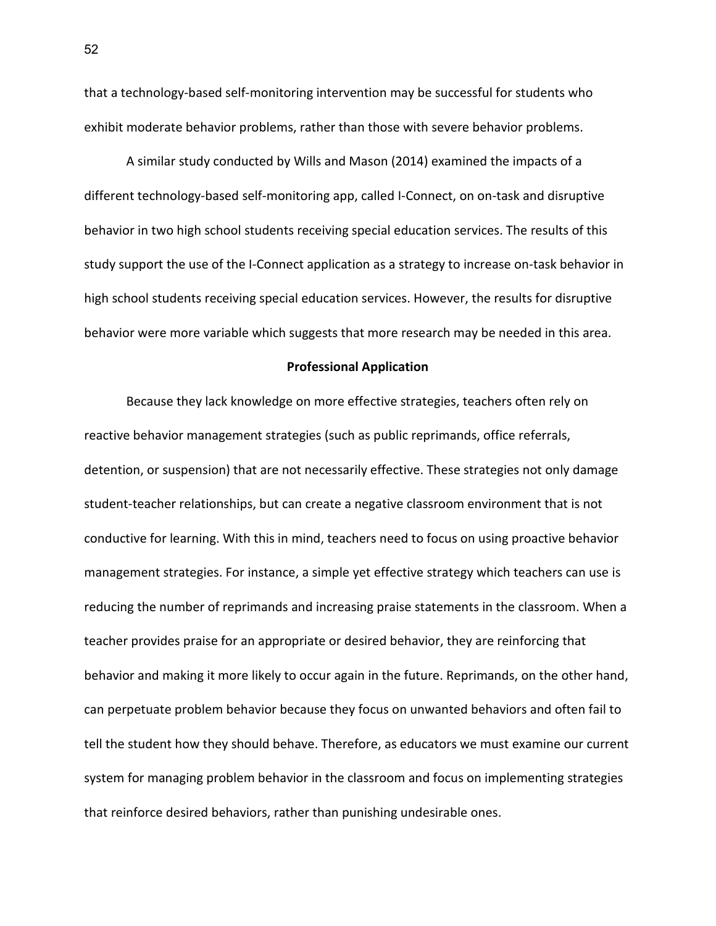that a technology-based self-monitoring intervention may be successful for students who exhibit moderate behavior problems, rather than those with severe behavior problems.

A similar study conducted by Wills and Mason (2014) examined the impacts of a different technology-based self-monitoring app, called I-Connect, on on-task and disruptive behavior in two high school students receiving special education services. The results of this study support the use of the I-Connect application as a strategy to increase on-task behavior in high school students receiving special education services. However, the results for disruptive behavior were more variable which suggests that more research may be needed in this area.

#### **Professional Application**

Because they lack knowledge on more effective strategies, teachers often rely on reactive behavior management strategies (such as public reprimands, office referrals, detention, or suspension) that are not necessarily effective. These strategies not only damage student-teacher relationships, but can create a negative classroom environment that is not conductive for learning. With this in mind, teachers need to focus on using proactive behavior management strategies. For instance, a simple yet effective strategy which teachers can use is reducing the number of reprimands and increasing praise statements in the classroom. When a teacher provides praise for an appropriate or desired behavior, they are reinforcing that behavior and making it more likely to occur again in the future. Reprimands, on the other hand, can perpetuate problem behavior because they focus on unwanted behaviors and often fail to tell the student how they should behave. Therefore, as educators we must examine our current system for managing problem behavior in the classroom and focus on implementing strategies that reinforce desired behaviors, rather than punishing undesirable ones.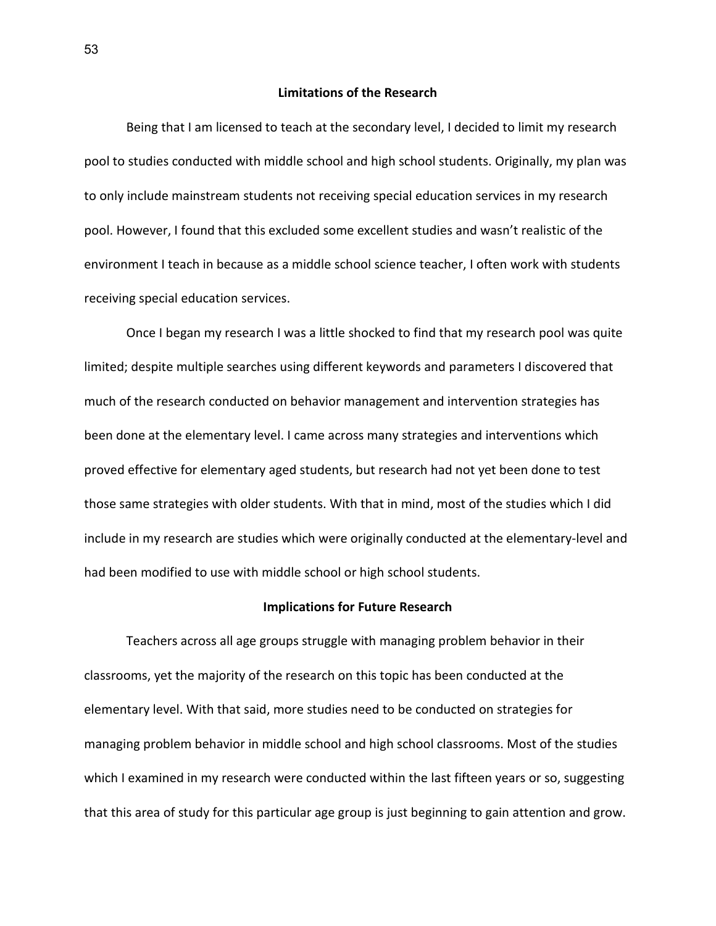## **Limitations of the Research**

Being that I am licensed to teach at the secondary level, I decided to limit my research pool to studies conducted with middle school and high school students. Originally, my plan was to only include mainstream students not receiving special education services in my research pool. However, I found that this excluded some excellent studies and wasn't realistic of the environment I teach in because as a middle school science teacher, I often work with students receiving special education services.

Once I began my research I was a little shocked to find that my research pool was quite limited; despite multiple searches using different keywords and parameters I discovered that much of the research conducted on behavior management and intervention strategies has been done at the elementary level. I came across many strategies and interventions which proved effective for elementary aged students, but research had not yet been done to test those same strategies with older students. With that in mind, most of the studies which I did include in my research are studies which were originally conducted at the elementary-level and had been modified to use with middle school or high school students.

# **Implications for Future Research**

Teachers across all age groups struggle with managing problem behavior in their classrooms, yet the majority of the research on this topic has been conducted at the elementary level. With that said, more studies need to be conducted on strategies for managing problem behavior in middle school and high school classrooms. Most of the studies which I examined in my research were conducted within the last fifteen years or so, suggesting that this area of study for this particular age group is just beginning to gain attention and grow.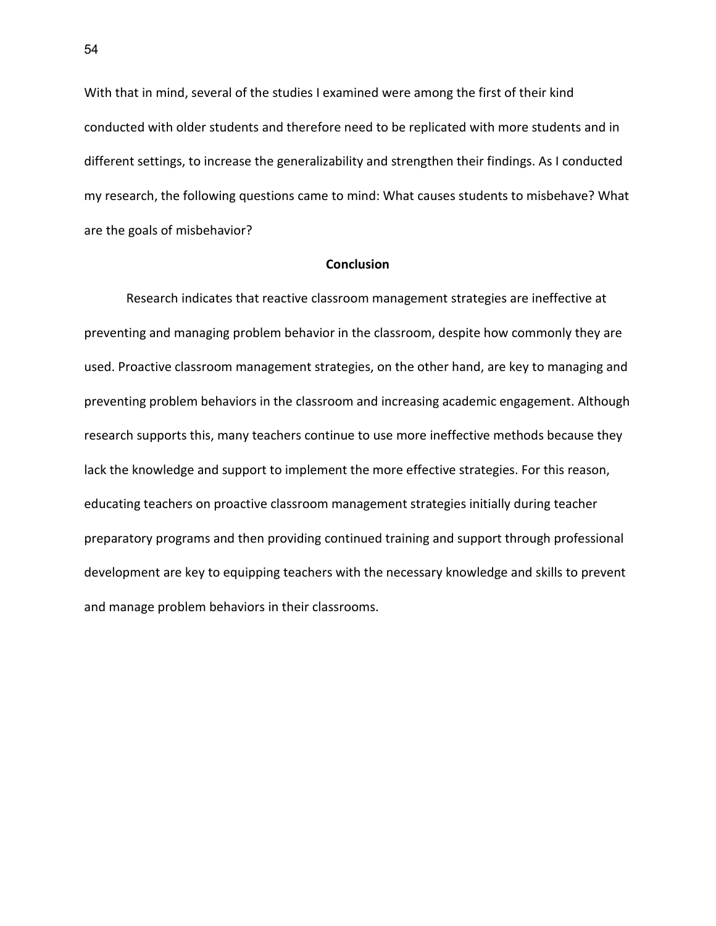With that in mind, several of the studies I examined were among the first of their kind conducted with older students and therefore need to be replicated with more students and in different settings, to increase the generalizability and strengthen their findings. As I conducted my research, the following questions came to mind: What causes students to misbehave? What are the goals of misbehavior?

# **Conclusion**

Research indicates that reactive classroom management strategies are ineffective at preventing and managing problem behavior in the classroom, despite how commonly they are used. Proactive classroom management strategies, on the other hand, are key to managing and preventing problem behaviors in the classroom and increasing academic engagement. Although research supports this, many teachers continue to use more ineffective methods because they lack the knowledge and support to implement the more effective strategies. For this reason, educating teachers on proactive classroom management strategies initially during teacher preparatory programs and then providing continued training and support through professional development are key to equipping teachers with the necessary knowledge and skills to prevent and manage problem behaviors in their classrooms.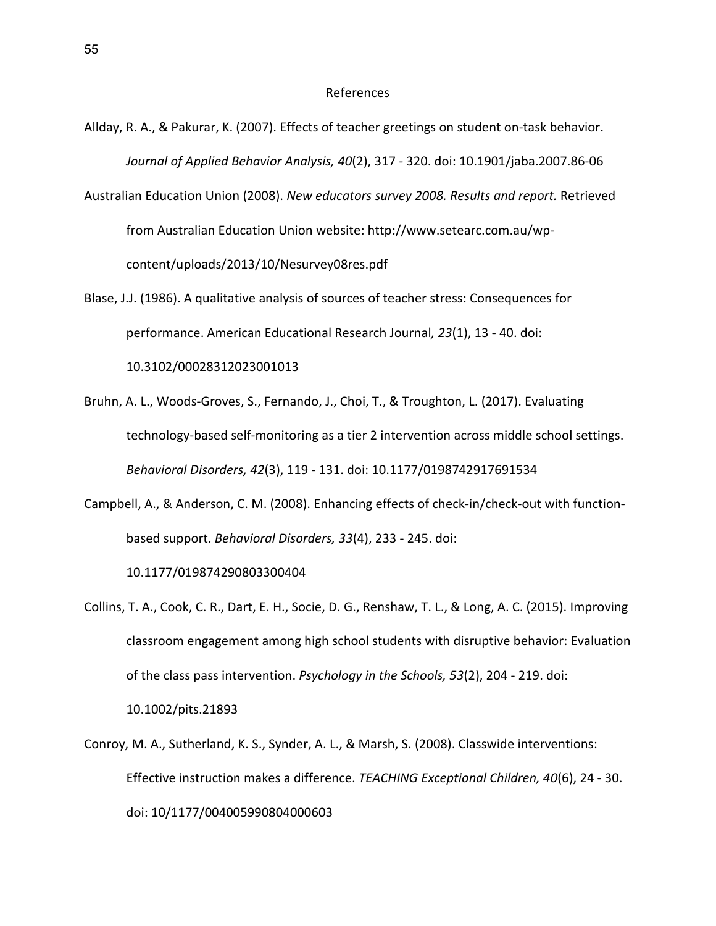#### References

- Allday, R. A., & Pakurar, K. (2007). Effects of teacher greetings on student on-task behavior. *Journal of Applied Behavior Analysis, 40*(2), 317 - 320. doi: 10.1901/jaba.2007.86-06
- Australian Education Union (2008). *New educators survey 2008. Results and report.* Retrieved from Australian Education Union website: http://www.setearc.com.au/wpcontent/uploads/2013/10/Nesurvey08res.pdf
- Blase, J.J. (1986). A qualitative analysis of sources of teacher stress: Consequences for performance. American Educational Research Journal*, 23*(1), 13 - 40. doi: 10.3102/00028312023001013
- Bruhn, A. L., Woods-Groves, S., Fernando, J., Choi, T., & Troughton, L. (2017). Evaluating technology-based self-monitoring as a tier 2 intervention across middle school settings. *Behavioral Disorders, 42*(3), 119 - 131. doi: 10.1177/0198742917691534
- Campbell, A., & Anderson, C. M. (2008). Enhancing effects of check-in/check-out with functionbased support. *Behavioral Disorders, 33*(4), 233 - 245. doi:

10.1177/019874290803300404

- Collins, T. A., Cook, C. R., Dart, E. H., Socie, D. G., Renshaw, T. L., & Long, A. C. (2015). Improving classroom engagement among high school students with disruptive behavior: Evaluation of the class pass intervention. *Psychology in the Schools, 53*(2), 204 - 219. doi: 10.1002/pits.21893
- Conroy, M. A., Sutherland, K. S., Synder, A. L., & Marsh, S. (2008). Classwide interventions: Effective instruction makes a difference. *TEACHING Exceptional Children, 40*(6), 24 - 30. doi: 10/1177/004005990804000603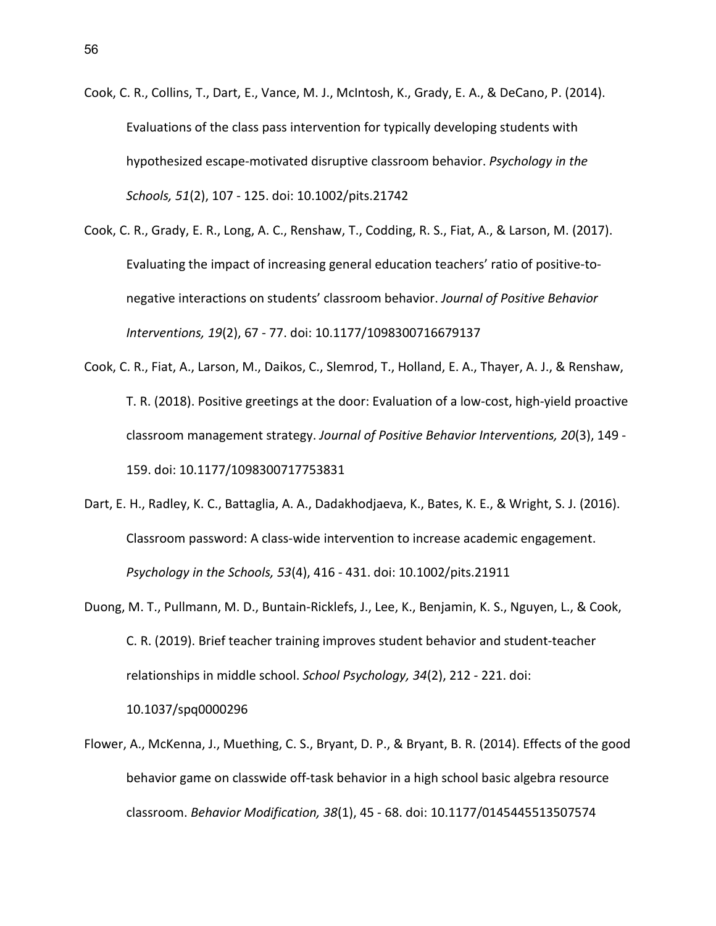- Cook, C. R., Collins, T., Dart, E., Vance, M. J., McIntosh, K., Grady, E. A., & DeCano, P. (2014). Evaluations of the class pass intervention for typically developing students with hypothesized escape-motivated disruptive classroom behavior. *Psychology in the Schools, 51*(2), 107 - 125. doi: 10.1002/pits.21742
- Cook, C. R., Grady, E. R., Long, A. C., Renshaw, T., Codding, R. S., Fiat, A., & Larson, M. (2017). Evaluating the impact of increasing general education teachers' ratio of positive-tonegative interactions on students' classroom behavior. *Journal of Positive Behavior Interventions, 19*(2), 67 - 77. doi: 10.1177/1098300716679137
- Cook, C. R., Fiat, A., Larson, M., Daikos, C., Slemrod, T., Holland, E. A., Thayer, A. J., & Renshaw, T. R. (2018). Positive greetings at the door: Evaluation of a low-cost, high-yield proactive classroom management strategy. *Journal of Positive Behavior Interventions, 20*(3), 149 - 159. doi: 10.1177/1098300717753831
- Dart, E. H., Radley, K. C., Battaglia, A. A., Dadakhodjaeva, K., Bates, K. E., & Wright, S. J. (2016). Classroom password: A class-wide intervention to increase academic engagement. *Psychology in the Schools, 53*(4), 416 - 431. doi: 10.1002/pits.21911
- Duong, M. T., Pullmann, M. D., Buntain-Ricklefs, J., Lee, K., Benjamin, K. S., Nguyen, L., & Cook, C. R. (2019). Brief teacher training improves student behavior and student-teacher relationships in middle school. *School Psychology, 34*(2), 212 - 221. doi: [10.1037](https://doi.org/10.1037/spq0000296)/spq0000296
- Flower, A., McKenna, J., Muething, C. S., Bryant, D. P., & Bryant, B. R. (2014). Effects of the good behavior game on classwide off-task behavior in a high school basic algebra resource classroom. *Behavior Modification, 38*(1), 45 - 68. doi: 10.1177/0145445513507574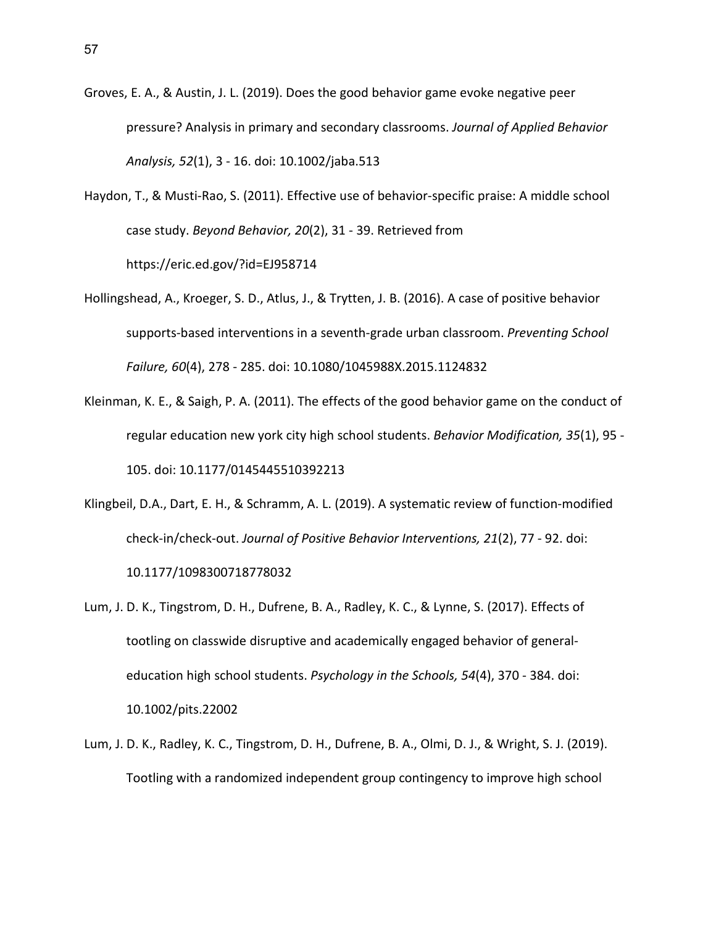Groves, E. A., & Austin, J. L. (2019). Does the good behavior game evoke negative peer pressure? Analysis in primary and secondary classrooms. *Journal of Applied Behavior Analysis, 52*(1), 3 - 16. doi: 10.1002/jaba.513

- Haydon, T., & Musti-Rao, S. (2011). Effective use of behavior-specific praise: A middle school case study. *Beyond Behavior, 20*(2), 31 - 39. Retrieved from https://eric.ed.gov/?id=EJ958714
- Hollingshead, A., Kroeger, S. D., Atlus, J., & Trytten, J. B. (2016). A case of positive behavior supports-based interventions in a seventh-grade urban classroom. *Preventing School Failure, 60*(4), 278 - 285. doi: 10.1080/1045988X.2015.1124832
- Kleinman, K. E., & Saigh, P. A. (2011). The effects of the good behavior game on the conduct of regular education new york city high school students. *Behavior Modification, 35*(1), 95 - 105. doi: 10.1177/0145445510392213
- Klingbeil, D.A., Dart, E. H., & Schramm, A. L. (2019). A systematic review of function-modified check-in/check-out. *Journal of Positive Behavior Interventions, 21*(2), 77 - 92. doi: 10.1177/1098300718778032
- Lum, J. D. K., Tingstrom, D. H., Dufrene, B. A., Radley, K. C., & Lynne, S. (2017). Effects of tootling on classwide disruptive and academically engaged behavior of generaleducation high school students. *Psychology in the Schools, 54*(4), 370 - 384. doi: 10.1002/pits.22002
- Lum, J. D. K., Radley, K. C., Tingstrom, D. H., Dufrene, B. A., Olmi, D. J., & Wright, S. J. (2019). Tootling with a randomized independent group contingency to improve high school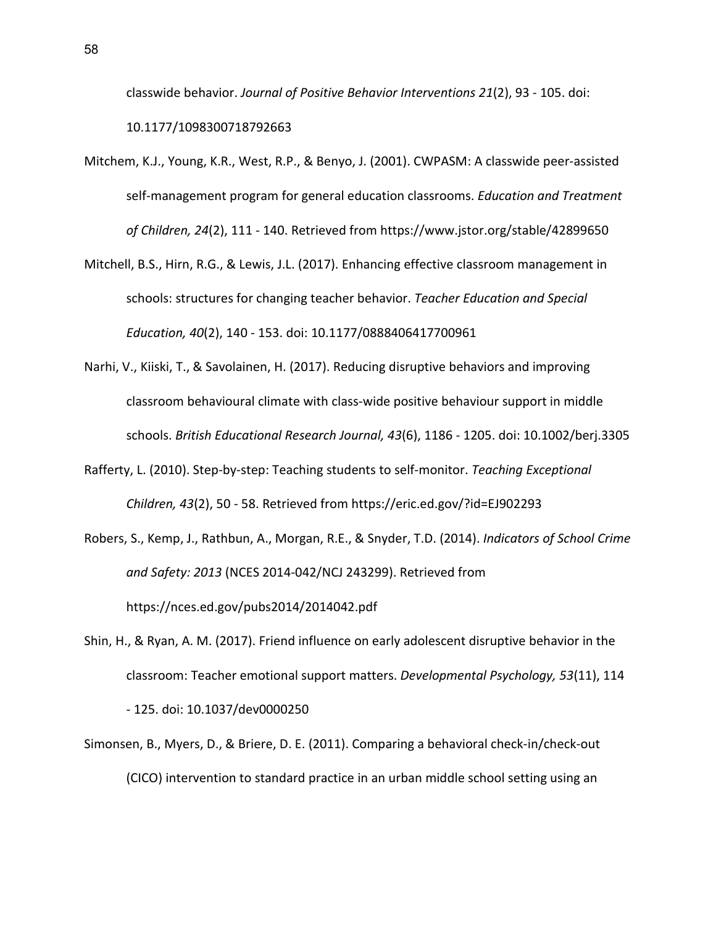classwide behavior. *Journal of Positive Behavior Interventions 21*(2), 93 - 105. doi: 10.1177/1098300718792663

- Mitchem, K.J., Young, K.R., West, R.P., & Benyo, J. (2001). CWPASM: A classwide peer-assisted self-management program for general education classrooms. *Education and Treatment of Children, 24*(2), 111 - 140. Retrieved from https://www.jstor.org/stable/42899650
- Mitchell, B.S., Hirn, R.G., & Lewis, J.L. (2017). Enhancing effective classroom management in schools: structures for changing teacher behavior. *Teacher Education and Special Education, 40*(2), 140 - 153. doi: 10.1177/0888406417700961
- Narhi, V., Kiiski, T., & Savolainen, H. (2017). Reducing disruptive behaviors and improving classroom behavioural climate with class-wide positive behaviour support in middle schools. *British Educational Research Journal, 43*(6), 1186 - 1205. doi: 10.1002/berj.3305
- Rafferty, L. (2010). Step-by-step: Teaching students to self-monitor. *Teaching Exceptional Children, 43*(2), 50 - 58. Retrieved from https://eric.ed.gov/?id=EJ902293
- Robers, S., Kemp, J., Rathbun, A., Morgan, R.E., & Snyder, T.D. (2014). *Indicators of School Crime and Safety: 2013* (NCES 2014-042/NCJ 243299). Retrieved from https://nces.ed.gov/pubs2014/2014042.pdf
- Shin, H., & Ryan, A. M. (2017). Friend influence on early adolescent disruptive behavior in the classroom: Teacher emotional support matters. *Developmental Psychology, 53*(11), 114 - 125. doi: 10.1037/dev0000250
- Simonsen, B., Myers, D., & Briere, D. E. (2011). Comparing a behavioral check-in/check-out (CICO) intervention to standard practice in an urban middle school setting using an